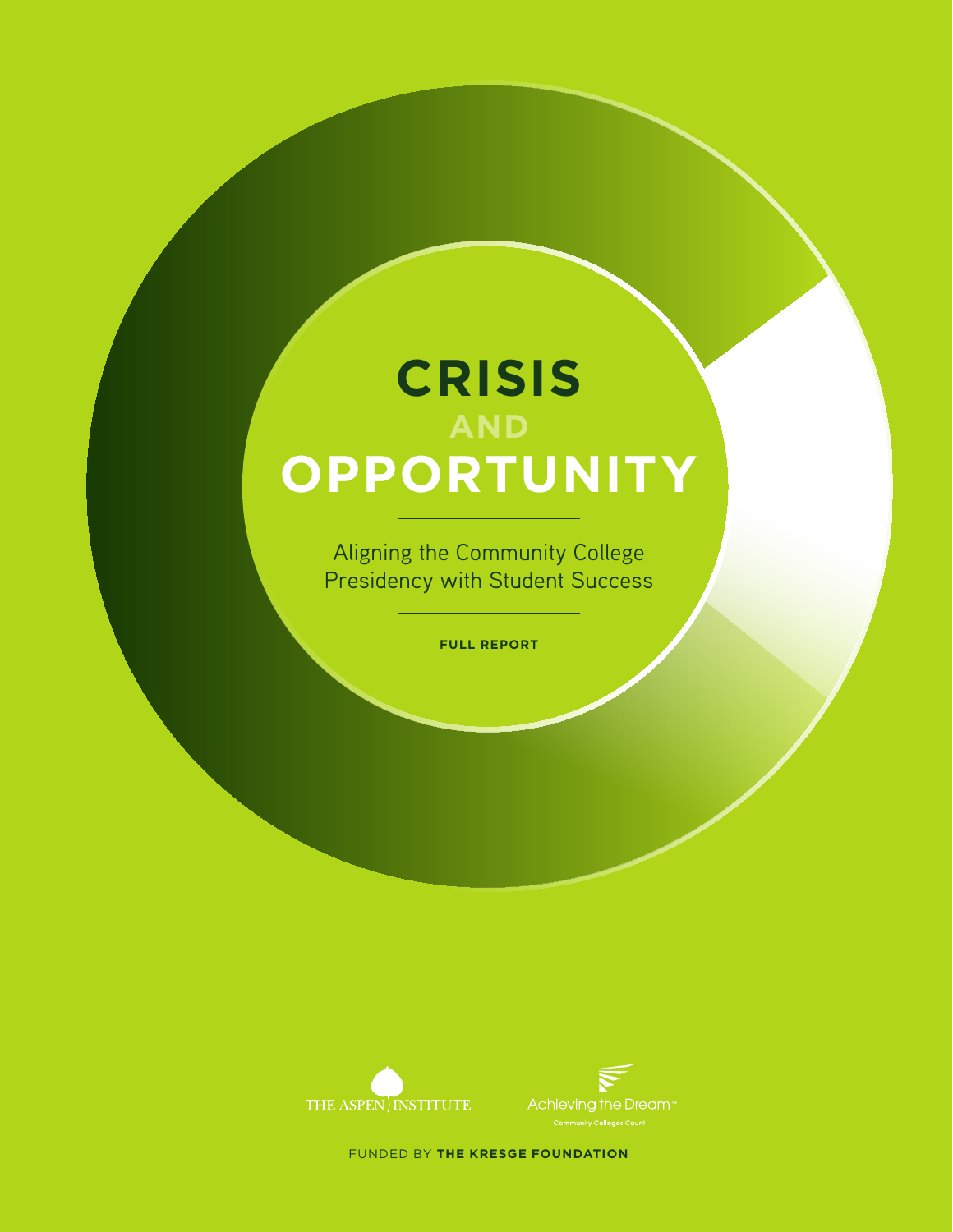# **CRISIS AND OPPORTUNITY**

Aligning the Community College Presidency with Student Success

**FULL REPORT**





FUNDED BY **THE KRESGE FOUNDATION**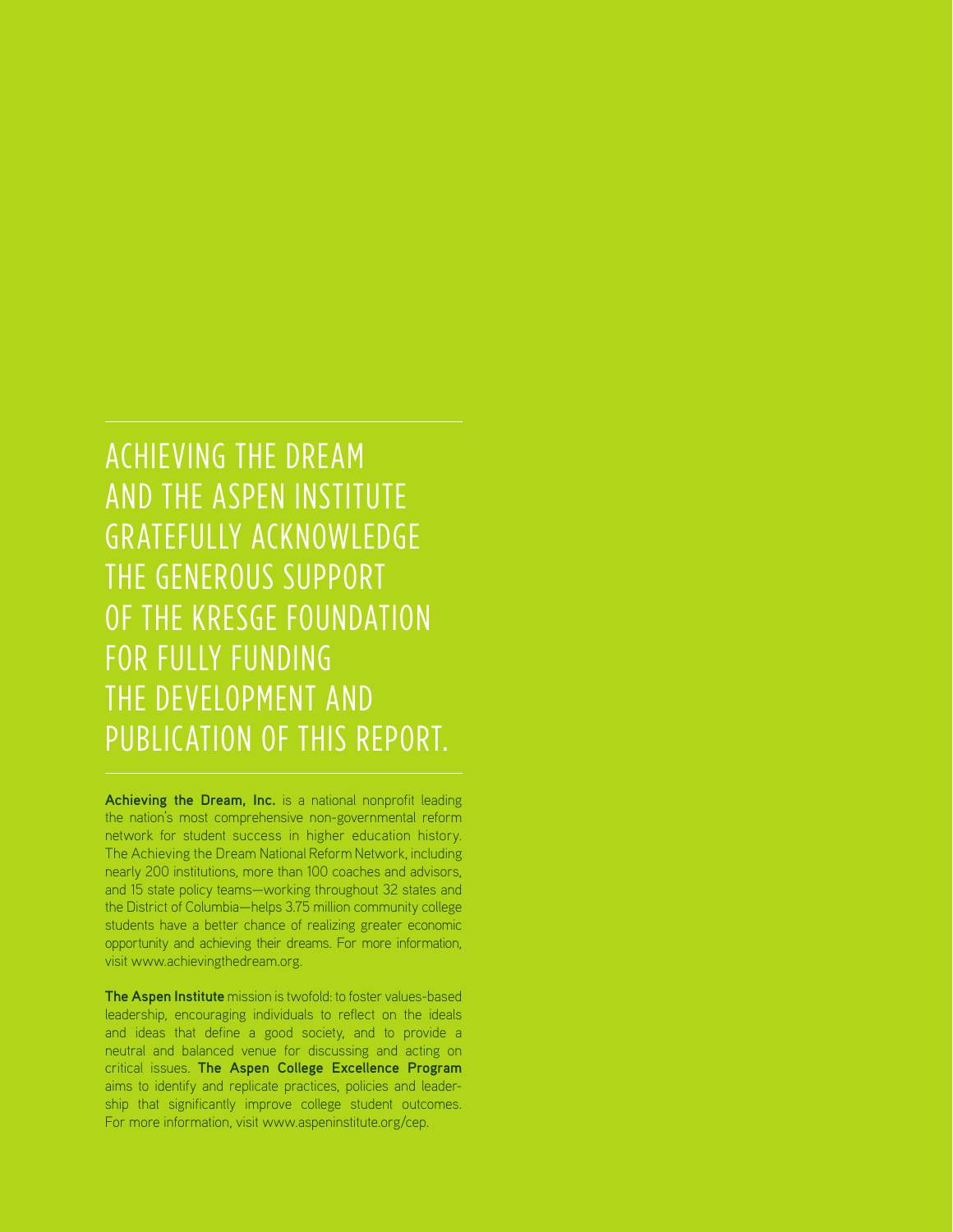ACHIEVING THE DREAM AND THE ASPEN INSTITUTE GRATEFULLY ACKNOWLEDGE THE GENEROUS SUPPORT OF THE KRESGE FOUNDATION FOR FULLY FUNDING THE DEVELOPMENT AND PUBLICATION OF THIS REPORT.

**Achieving the Dream, Inc.** is a national nonprofit leading the nation's most comprehensive non-governmental reform network for student success in higher education history. The Achieving the Dream National Reform Network, including nearly 200 institutions, more than 100 coaches and advisors, and 15 state policy teams—working throughout 32 states and the District of Columbia—helps 3.75 million community college students have a better chance of realizing greater economic opportunity and achieving their dreams. For more information, visit www.achievingthedream.org.

**The Aspen Institute** mission is twofold: to foster values-based leadership, encouraging individuals to reflect on the ideals and ideas that define a good society, and to provide a neutral and balanced venue for discussing and acting on critical issues. **The Aspen College Excellence Program** aims to identify and replicate practices, policies and leadership that significantly improve college student outcomes. For more information, visit www.aspeninstitute.org/cep.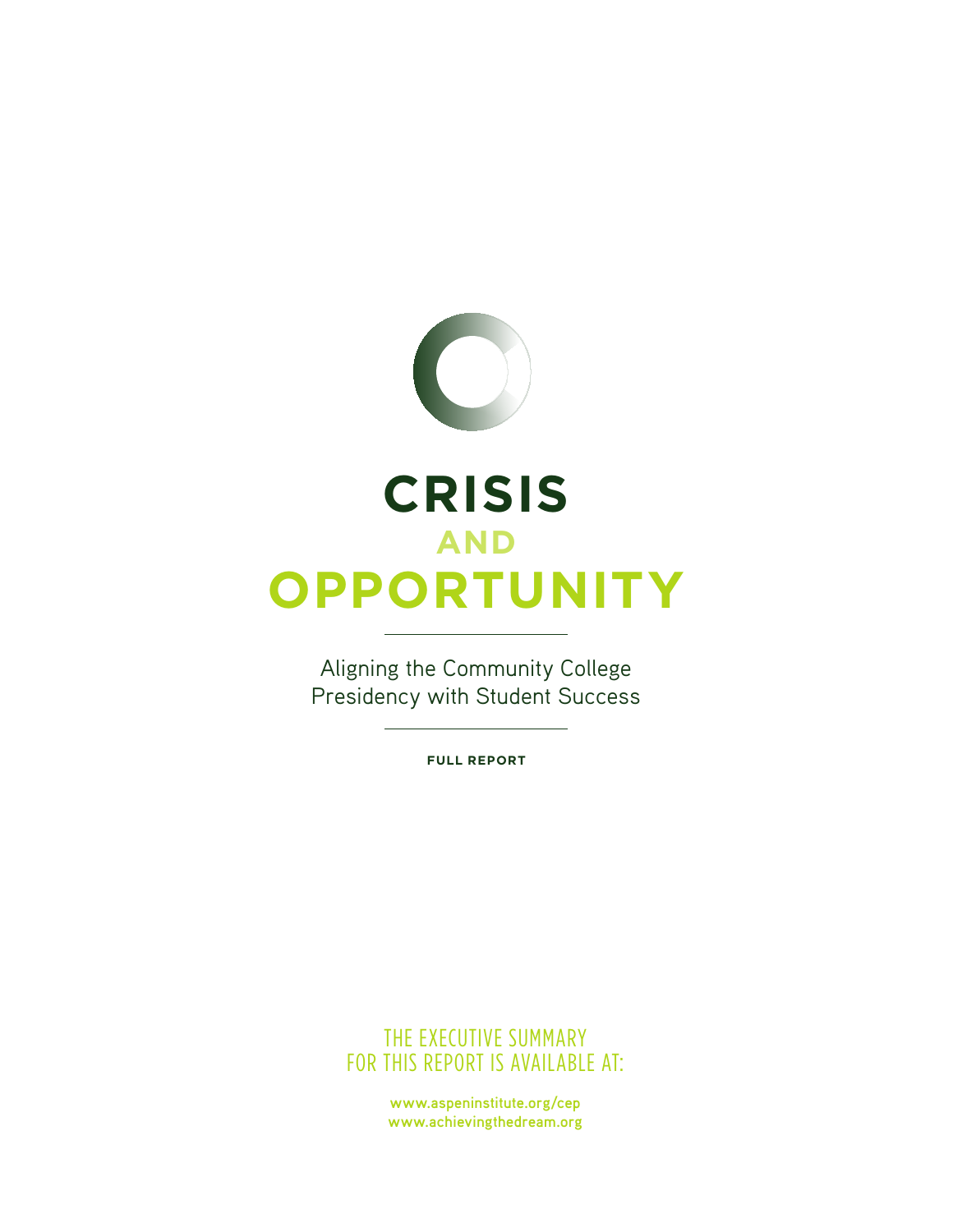

# **CRISIS AND OPPORTUNITY**

Aligning the Community College Presidency with Student Success

**FULL REPORT**

THE EXECUTIVE SUMMARY FOR THIS REPORT IS AVAILABLE AT:

> **www.aspeninstitute.org/cep www.achievingthedream.org**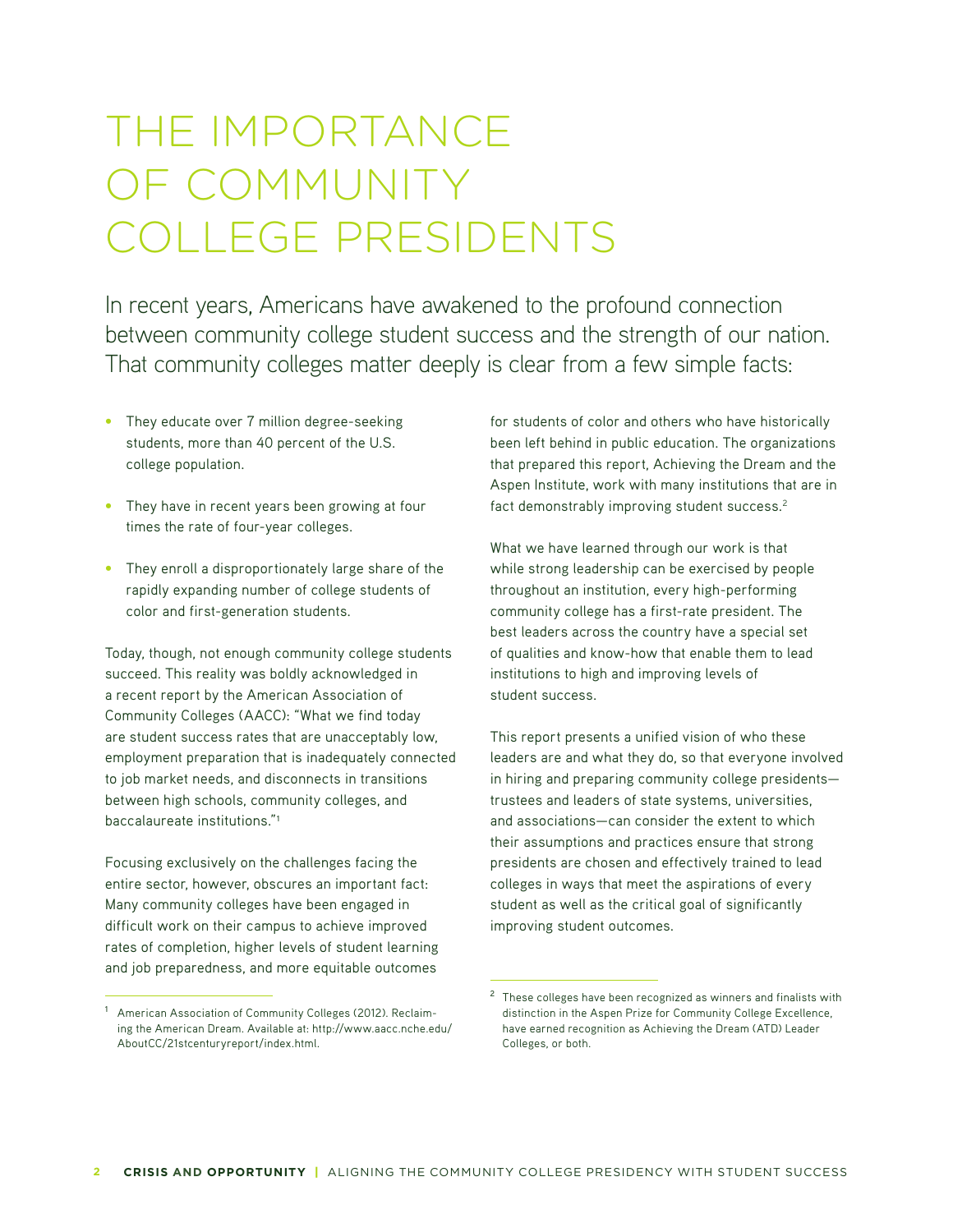# THE IMPORTANCE OF COMMUNITY COLLEGE PRESIDENTS

In recent years, Americans have awakened to the profound connection between community college student success and the strength of our nation. That community colleges matter deeply is clear from a few simple facts:

- **•** They educate over 7 million degree-seeking students, more than 40 percent of the U.S. college population.
- **•** They have in recent years been growing at four times the rate of four-year colleges.
- **•** They enroll a disproportionately large share of the rapidly expanding number of college students of color and first-generation students.

Today, though, not enough community college students succeed. This reality was boldly acknowledged in a recent report by the American Association of Community Colleges (AACC): "What we find today are student success rates that are unacceptably low, employment preparation that is inadequately connected to job market needs, and disconnects in transitions between high schools, community colleges, and baccalaureate institutions."<sup>1</sup>

Focusing exclusively on the challenges facing the entire sector, however, obscures an important fact: Many community colleges have been engaged in difficult work on their campus to achieve improved rates of completion, higher levels of student learning and job preparedness, and more equitable outcomes

<sup>1</sup> American Association of Community Colleges (2012). Reclaiming the American Dream. Available at: http://www.aacc.nche.edu/ AboutCC/21stcenturyreport/index.html.

for students of color and others who have historically been left behind in public education. The organizations that prepared this report, Achieving the Dream and the Aspen Institute, work with many institutions that are in fact demonstrably improving student success.2

What we have learned through our work is that while strong leadership can be exercised by people throughout an institution, every high-performing community college has a first-rate president. The best leaders across the country have a special set of qualities and know-how that enable them to lead institutions to high and improving levels of student success.

This report presents a unified vision of who these leaders are and what they do, so that everyone involved in hiring and preparing community college presidents trustees and leaders of state systems, universities, and associations—can consider the extent to which their assumptions and practices ensure that strong presidents are chosen and effectively trained to lead colleges in ways that meet the aspirations of every student as well as the critical goal of significantly improving student outcomes.

<sup>2</sup> These colleges have been recognized as winners and finalists with distinction in the Aspen Prize for Community College Excellence, have earned recognition as Achieving the Dream (ATD) Leader Colleges, or both.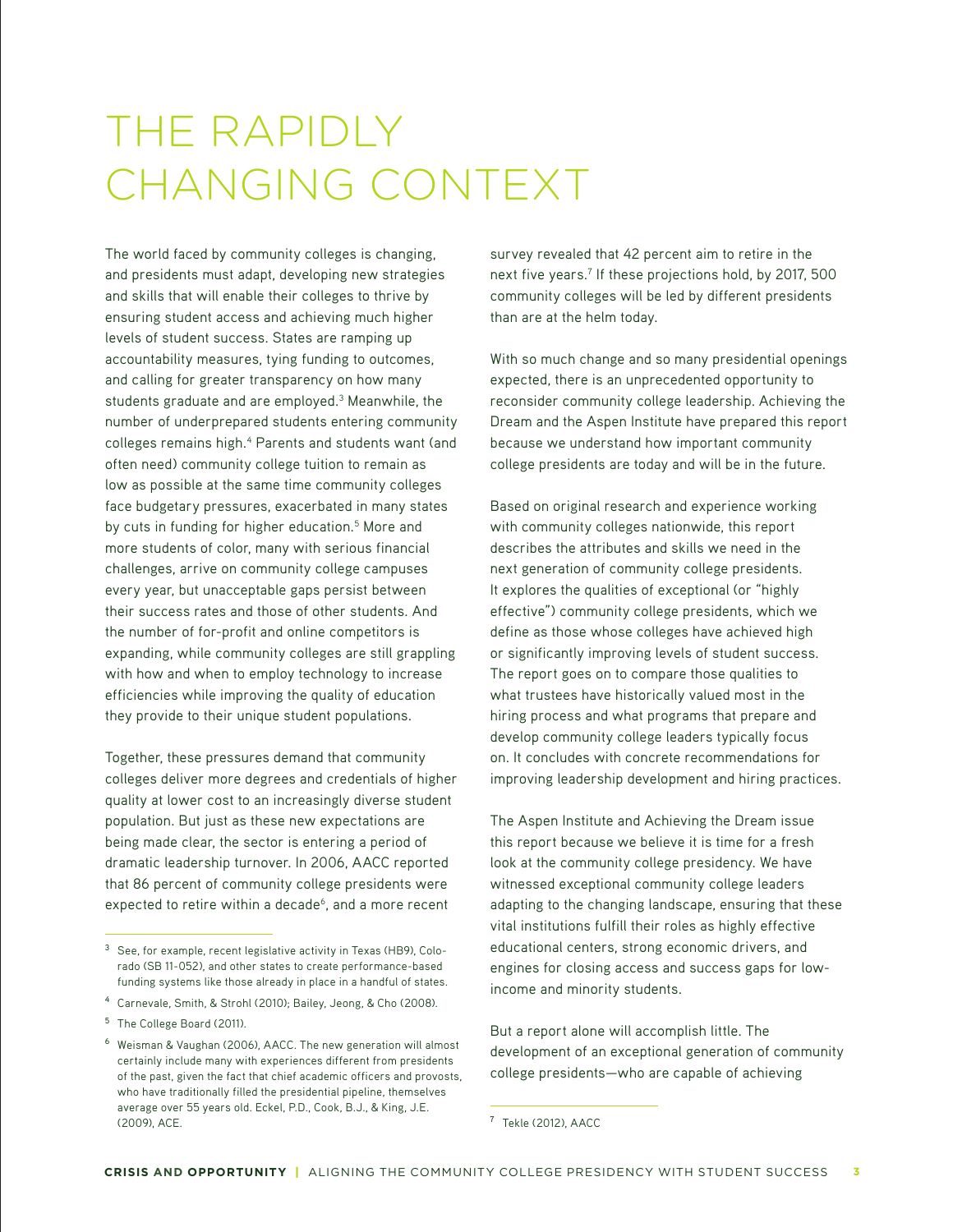# THE RAPIDLY CHANGING CONTEXT

The world faced by community colleges is changing, and presidents must adapt, developing new strategies and skills that will enable their colleges to thrive by ensuring student access and achieving much higher levels of student success. States are ramping up accountability measures, tying funding to outcomes, and calling for greater transparency on how many students graduate and are employed.<sup>3</sup> Meanwhile, the number of underprepared students entering community colleges remains high.<sup>4</sup> Parents and students want (and often need) community college tuition to remain as low as possible at the same time community colleges face budgetary pressures, exacerbated in many states by cuts in funding for higher education.<sup>5</sup> More and more students of color, many with serious financial challenges, arrive on community college campuses every year, but unacceptable gaps persist between their success rates and those of other students. And the number of for-profit and online competitors is expanding, while community colleges are still grappling with how and when to employ technology to increase efficiencies while improving the quality of education they provide to their unique student populations.

Together, these pressures demand that community colleges deliver more degrees and credentials of higher quality at lower cost to an increasingly diverse student population. But just as these new expectations are being made clear, the sector is entering a period of dramatic leadership turnover. In 2006, AACC reported that 86 percent of community college presidents were expected to retire within a decade<sup>6</sup>, and a more recent

survey revealed that 42 percent aim to retire in the next five years.7 If these projections hold, by 2017, 500 community colleges will be led by different presidents than are at the helm today.

With so much change and so many presidential openings expected, there is an unprecedented opportunity to reconsider community college leadership. Achieving the Dream and the Aspen Institute have prepared this report because we understand how important community college presidents are today and will be in the future.

Based on original research and experience working with community colleges nationwide, this report describes the attributes and skills we need in the next generation of community college presidents. It explores the qualities of exceptional (or "highly effective") community college presidents, which we define as those whose colleges have achieved high or significantly improving levels of student success. The report goes on to compare those qualities to what trustees have historically valued most in the hiring process and what programs that prepare and develop community college leaders typically focus on. It concludes with concrete recommendations for improving leadership development and hiring practices.

The Aspen Institute and Achieving the Dream issue this report because we believe it is time for a fresh look at the community college presidency. We have witnessed exceptional community college leaders adapting to the changing landscape, ensuring that these vital institutions fulfill their roles as highly effective educational centers, strong economic drivers, and engines for closing access and success gaps for lowincome and minority students.

But a report alone will accomplish little. The development of an exceptional generation of community college presidents—who are capable of achieving

<sup>3</sup> See, for example, recent legislative activity in Texas (HB9), Colorado (SB 11-052), and other states to create performance-based funding systems like those already in place in a handful of states.

<sup>4</sup> Carnevale, Smith, & Strohl (2010); Bailey, Jeong, & Cho (2008).

<sup>&</sup>lt;sup>5</sup> The College Board (2011).

<sup>6</sup> Weisman & Vaughan (2006), AACC. The new generation will almost certainly include many with experiences different from presidents of the past, given the fact that chief academic officers and provosts, who have traditionally filled the presidential pipeline, themselves average over 55 years old. Eckel, P.D., Cook, B.J., & King, J.E. (2009), ACE.

<sup>7</sup> Tekle (2012), AACC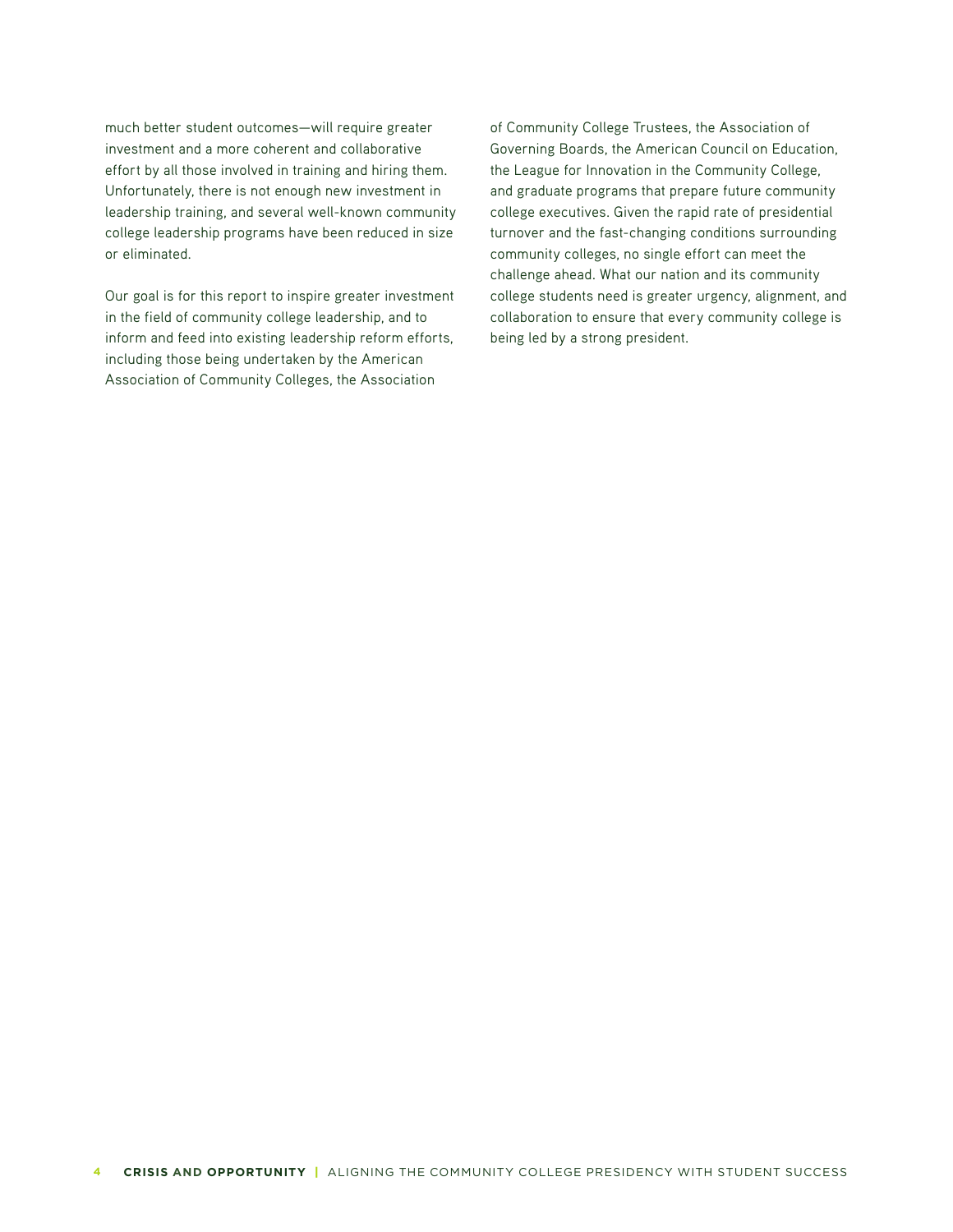much better student outcomes—will require greater investment and a more coherent and collaborative effort by all those involved in training and hiring them. Unfortunately, there is not enough new investment in leadership training, and several well-known community college leadership programs have been reduced in size or eliminated.

Our goal is for this report to inspire greater investment in the field of community college leadership, and to inform and feed into existing leadership reform efforts, including those being undertaken by the American Association of Community Colleges, the Association

of Community College Trustees, the Association of Governing Boards, the American Council on Education, the League for Innovation in the Community College, and graduate programs that prepare future community college executives. Given the rapid rate of presidential turnover and the fast-changing conditions surrounding community colleges, no single effort can meet the challenge ahead. What our nation and its community college students need is greater urgency, alignment, and collaboration to ensure that every community college is being led by a strong president.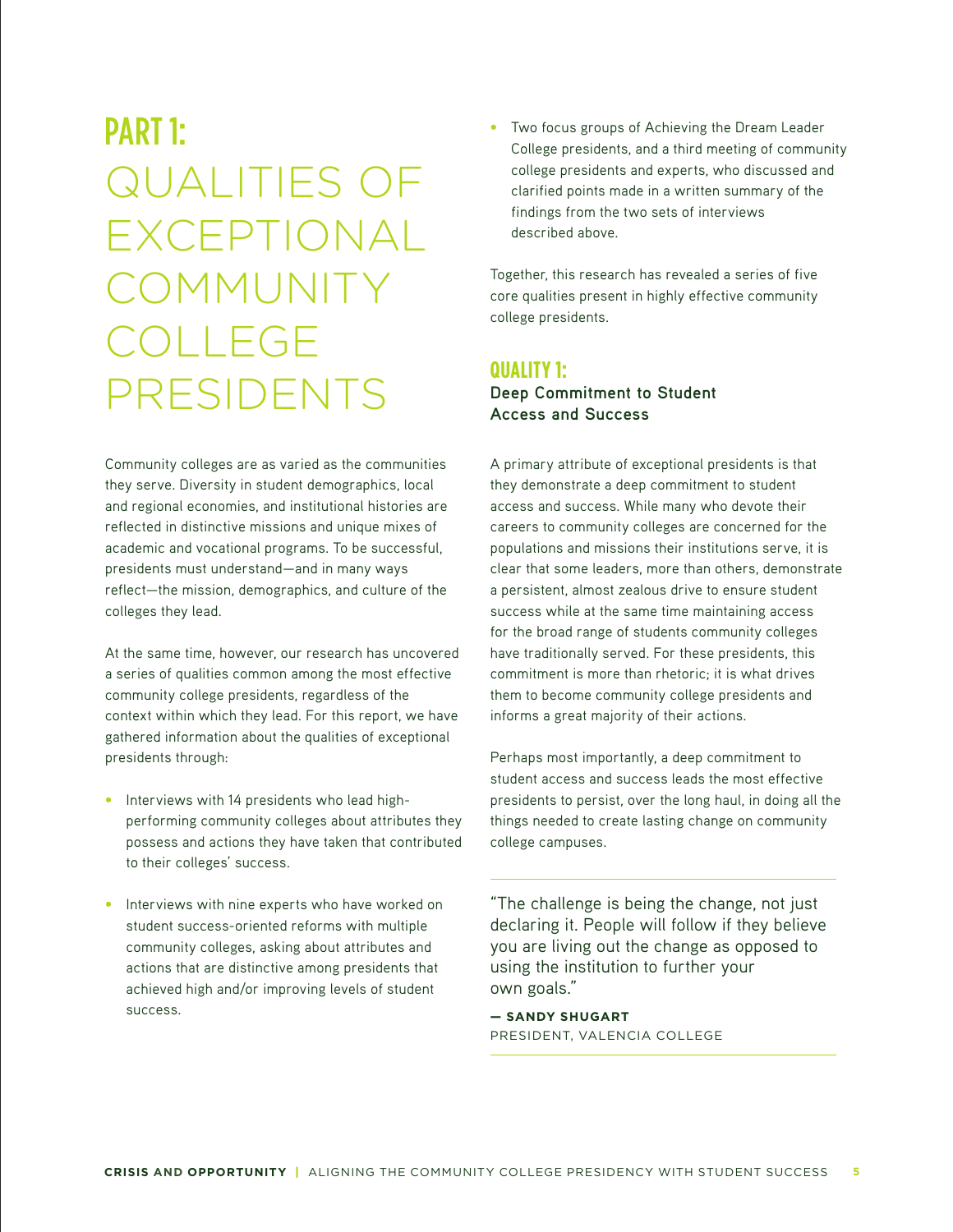# PART 1: QUALITIES OF EXCEPTIONAL COMMUNITY COLLEGE PRESIDENTS

Community colleges are as varied as the communities they serve. Diversity in student demographics, local and regional economies, and institutional histories are reflected in distinctive missions and unique mixes of academic and vocational programs. To be successful, presidents must understand—and in many ways reflect—the mission, demographics, and culture of the colleges they lead.

At the same time, however, our research has uncovered a series of qualities common among the most effective community college presidents, regardless of the context within which they lead. For this report, we have gathered information about the qualities of exceptional presidents through:

- **•** Interviews with 14 presidents who lead highperforming community colleges about attributes they possess and actions they have taken that contributed to their colleges' success.
- Interviews with nine experts who have worked on student success-oriented reforms with multiple community colleges, asking about attributes and actions that are distinctive among presidents that achieved high and/or improving levels of student success.

**•** Two focus groups of Achieving the Dream Leader College presidents, and a third meeting of community college presidents and experts, who discussed and clarified points made in a written summary of the findings from the two sets of interviews described above.

Together, this research has revealed a series of five core qualities present in highly effective community college presidents.

## **QUALITY 1:**

## **Deep Commitment to Student Access and Success**

A primary attribute of exceptional presidents is that they demonstrate a deep commitment to student access and success. While many who devote their careers to community colleges are concerned for the populations and missions their institutions serve, it is clear that some leaders, more than others, demonstrate a persistent, almost zealous drive to ensure student success while at the same time maintaining access for the broad range of students community colleges have traditionally served. For these presidents, this commitment is more than rhetoric; it is what drives them to become community college presidents and informs a great majority of their actions.

Perhaps most importantly, a deep commitment to student access and success leads the most effective presidents to persist, over the long haul, in doing all the things needed to create lasting change on community college campuses.

"The challenge is being the change, not just declaring it. People will follow if they believe you are living out the change as opposed to using the institution to further your own goals."

**— SANDY SHUGART** PRESIDENT, VALENCIA COLLEGE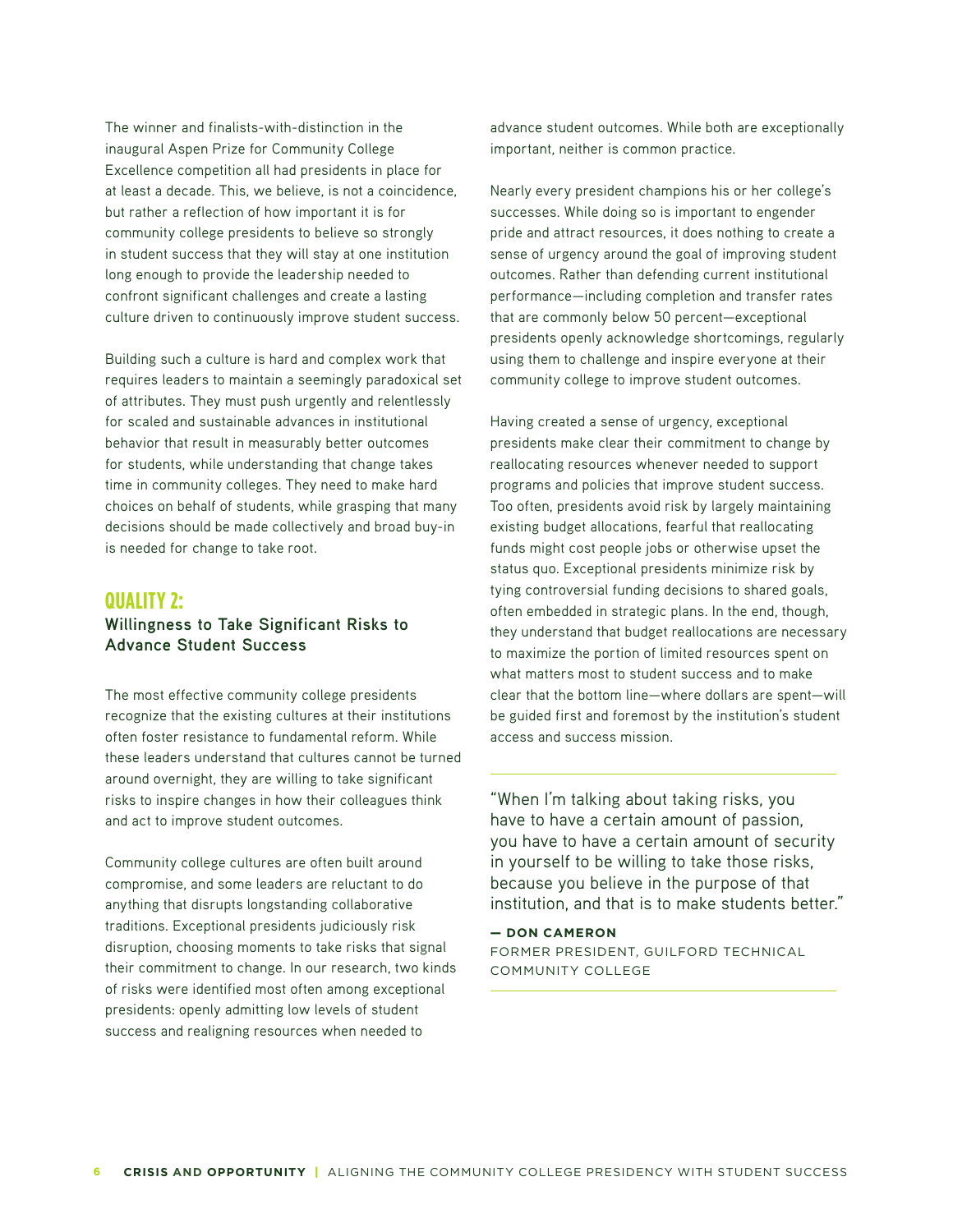The winner and finalists-with-distinction in the inaugural Aspen Prize for Community College Excellence competition all had presidents in place for at least a decade. This, we believe, is not a coincidence, but rather a reflection of how important it is for community college presidents to believe so strongly in student success that they will stay at one institution long enough to provide the leadership needed to confront significant challenges and create a lasting culture driven to continuously improve student success.

Building such a culture is hard and complex work that requires leaders to maintain a seemingly paradoxical set of attributes. They must push urgently and relentlessly for scaled and sustainable advances in institutional behavior that result in measurably better outcomes for students, while understanding that change takes time in community colleges. They need to make hard choices on behalf of students, while grasping that many decisions should be made collectively and broad buy-in is needed for change to take root.

## **QUALITY 2: Willingness to Take Significant Risks to Advance Student Success**

The most effective community college presidents recognize that the existing cultures at their institutions often foster resistance to fundamental reform. While these leaders understand that cultures cannot be turned around overnight, they are willing to take significant risks to inspire changes in how their colleagues think and act to improve student outcomes.

Community college cultures are often built around compromise, and some leaders are reluctant to do anything that disrupts longstanding collaborative traditions. Exceptional presidents judiciously risk disruption, choosing moments to take risks that signal their commitment to change. In our research, two kinds of risks were identified most often among exceptional presidents: openly admitting low levels of student success and realigning resources when needed to

advance student outcomes. While both are exceptionally important, neither is common practice.

Nearly every president champions his or her college's successes. While doing so is important to engender pride and attract resources, it does nothing to create a sense of urgency around the goal of improving student outcomes. Rather than defending current institutional performance—including completion and transfer rates that are commonly below 50 percent—exceptional presidents openly acknowledge shortcomings, regularly using them to challenge and inspire everyone at their community college to improve student outcomes.

Having created a sense of urgency, exceptional presidents make clear their commitment to change by reallocating resources whenever needed to support programs and policies that improve student success. Too often, presidents avoid risk by largely maintaining existing budget allocations, fearful that reallocating funds might cost people jobs or otherwise upset the status quo. Exceptional presidents minimize risk by tying controversial funding decisions to shared goals, often embedded in strategic plans. In the end, though, they understand that budget reallocations are necessary to maximize the portion of limited resources spent on what matters most to student success and to make clear that the bottom line—where dollars are spent—will be guided first and foremost by the institution's student access and success mission.

"When I'm talking about taking risks, you have to have a certain amount of passion, you have to have a certain amount of security in yourself to be willing to take those risks, because you believe in the purpose of that institution, and that is to make students better."

**— DON CAMERON** FORMER PRESIDENT, GUILFORD TECHNICAL COMMUNITY COLLEGE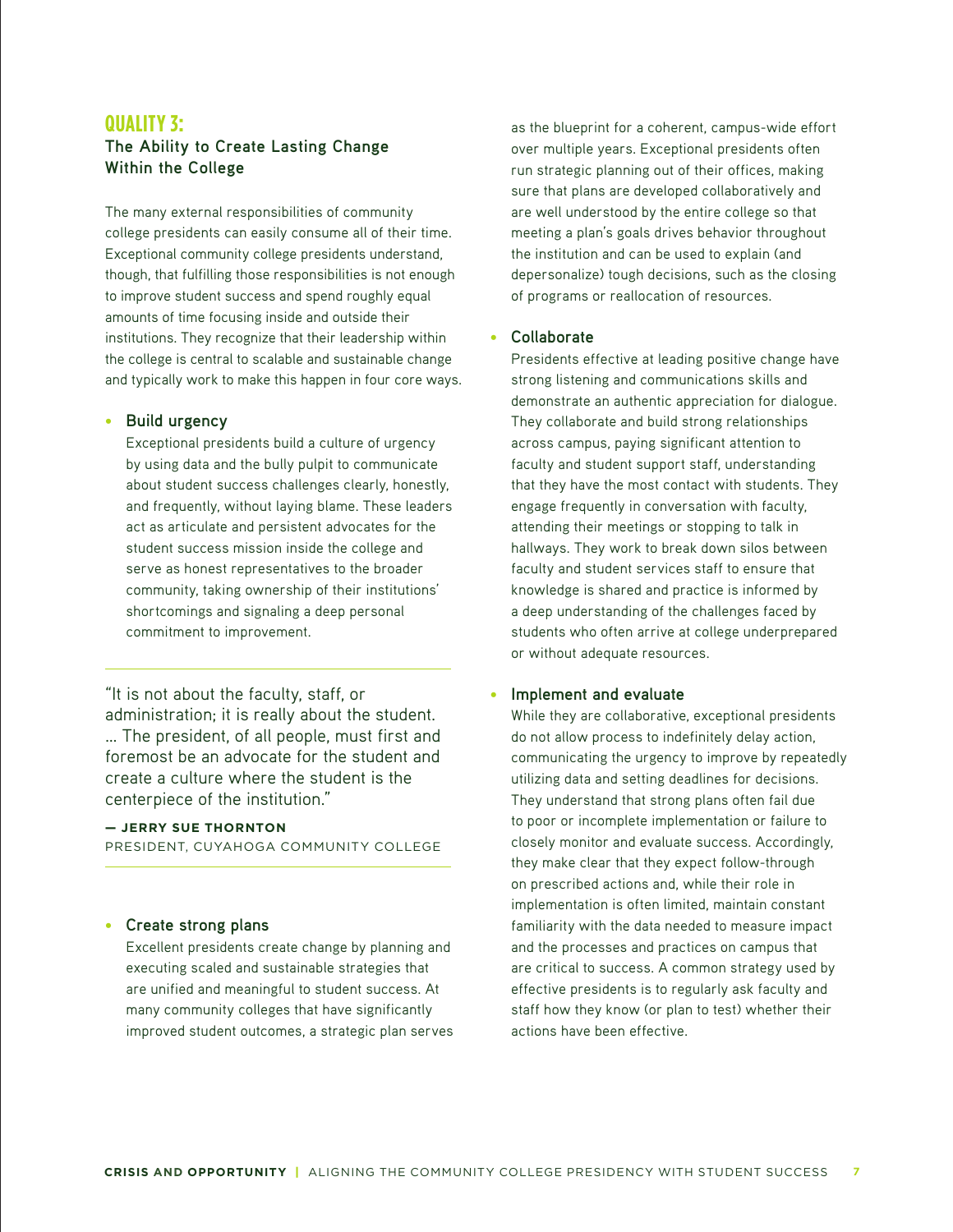### **QUALITY 3:**

## **The Ability to Create Lasting Change Within the College**

The many external responsibilities of community college presidents can easily consume all of their time. Exceptional community college presidents understand, though, that fulfilling those responsibilities is not enough to improve student success and spend roughly equal amounts of time focusing inside and outside their institutions. They recognize that their leadership within the college is central to scalable and sustainable change and typically work to make this happen in four core ways.

#### **• Build urgency**

Exceptional presidents build a culture of urgency by using data and the bully pulpit to communicate about student success challenges clearly, honestly, and frequently, without laying blame. These leaders act as articulate and persistent advocates for the student success mission inside the college and serve as honest representatives to the broader community, taking ownership of their institutions' shortcomings and signaling a deep personal commitment to improvement.

"It is not about the faculty, staff, or administration; it is really about the student. … The president, of all people, must first and foremost be an advocate for the student and create a culture where the student is the centerpiece of the institution."

#### **— JERRY SUE THORNTON**

PRESIDENT, CUYAHOGA COMMUNITY COLLEGE

#### **• Create strong plans**

Excellent presidents create change by planning and executing scaled and sustainable strategies that are unified and meaningful to student success. At many community colleges that have significantly improved student outcomes, a strategic plan serves as the blueprint for a coherent, campus-wide effort over multiple years. Exceptional presidents often run strategic planning out of their offices, making sure that plans are developed collaboratively and are well understood by the entire college so that meeting a plan's goals drives behavior throughout the institution and can be used to explain (and depersonalize) tough decisions, such as the closing of programs or reallocation of resources.

#### **• Collaborate**

Presidents effective at leading positive change have strong listening and communications skills and demonstrate an authentic appreciation for dialogue. They collaborate and build strong relationships across campus, paying significant attention to faculty and student support staff, understanding that they have the most contact with students. They engage frequently in conversation with faculty, attending their meetings or stopping to talk in hallways. They work to break down silos between faculty and student services staff to ensure that knowledge is shared and practice is informed by a deep understanding of the challenges faced by students who often arrive at college underprepared or without adequate resources.

#### **Implement and evaluate**

While they are collaborative, exceptional presidents do not allow process to indefinitely delay action, communicating the urgency to improve by repeatedly utilizing data and setting deadlines for decisions. They understand that strong plans often fail due to poor or incomplete implementation or failure to closely monitor and evaluate success. Accordingly, they make clear that they expect follow-through on prescribed actions and, while their role in implementation is often limited, maintain constant familiarity with the data needed to measure impact and the processes and practices on campus that are critical to success. A common strategy used by effective presidents is to regularly ask faculty and staff how they know (or plan to test) whether their actions have been effective.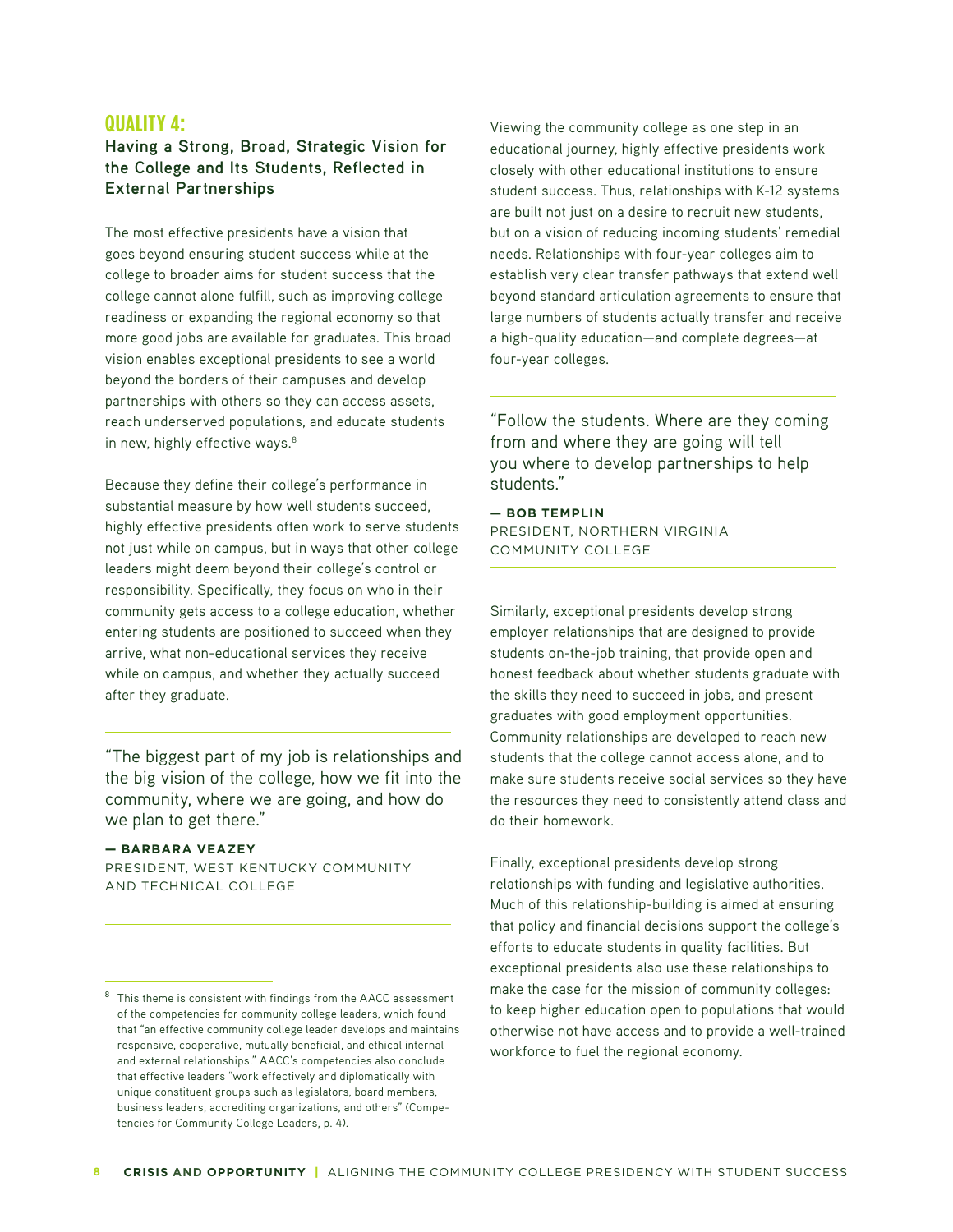### **QUALITY 4:**

## **Having a Strong, Broad, Strategic Vision for the College and Its Students, Reflected in External Partnerships**

The most effective presidents have a vision that goes beyond ensuring student success while at the college to broader aims for student success that the college cannot alone fulfill, such as improving college readiness or expanding the regional economy so that more good jobs are available for graduates. This broad vision enables exceptional presidents to see a world beyond the borders of their campuses and develop partnerships with others so they can access assets, reach underserved populations, and educate students in new, highly effective ways.<sup>8</sup>

Because they define their college's performance in substantial measure by how well students succeed, highly effective presidents often work to serve students not just while on campus, but in ways that other college leaders might deem beyond their college's control or responsibility. Specifically, they focus on who in their community gets access to a college education, whether entering students are positioned to succeed when they arrive, what non-educational services they receive while on campus, and whether they actually succeed after they graduate.

"The biggest part of my job is relationships and the big vision of the college, how we fit into the community, where we are going, and how do we plan to get there."

#### **— BARBARA VEAZEY**

PRESIDENT, WEST KENTUCKY COMMUNITY AND TECHNICAL COLLEGE

Viewing the community college as one step in an educational journey, highly effective presidents work closely with other educational institutions to ensure student success. Thus, relationships with K-12 systems are built not just on a desire to recruit new students, but on a vision of reducing incoming students' remedial needs. Relationships with four-year colleges aim to establish very clear transfer pathways that extend well beyond standard articulation agreements to ensure that large numbers of students actually transfer and receive a high-quality education—and complete degrees—at four-year colleges.

"Follow the students. Where are they coming from and where they are going will tell you where to develop partnerships to help students."

**— BOB TEMPLIN** PRESIDENT, NORTHERN VIRGINIA COMMUNITY COLLEGE

Similarly, exceptional presidents develop strong employer relationships that are designed to provide students on-the-job training, that provide open and honest feedback about whether students graduate with the skills they need to succeed in jobs, and present graduates with good employment opportunities. Community relationships are developed to reach new students that the college cannot access alone, and to make sure students receive social services so they have the resources they need to consistently attend class and do their homework.

Finally, exceptional presidents develop strong relationships with funding and legislative authorities. Much of this relationship-building is aimed at ensuring that policy and financial decisions support the college's efforts to educate students in quality facilities. But exceptional presidents also use these relationships to make the case for the mission of community colleges: to keep higher education open to populations that would otherwise not have access and to provide a well-trained workforce to fuel the regional economy.

<sup>&</sup>lt;sup>8</sup> This theme is consistent with findings from the AACC assessment of the competencies for community college leaders, which found that "an effective community college leader develops and maintains responsive, cooperative, mutually beneficial, and ethical internal and external relationships." AACC's competencies also conclude that effective leaders "work effectively and diplomatically with unique constituent groups such as legislators, board members, business leaders, accrediting organizations, and others" (Competencies for Community College Leaders, p. 4).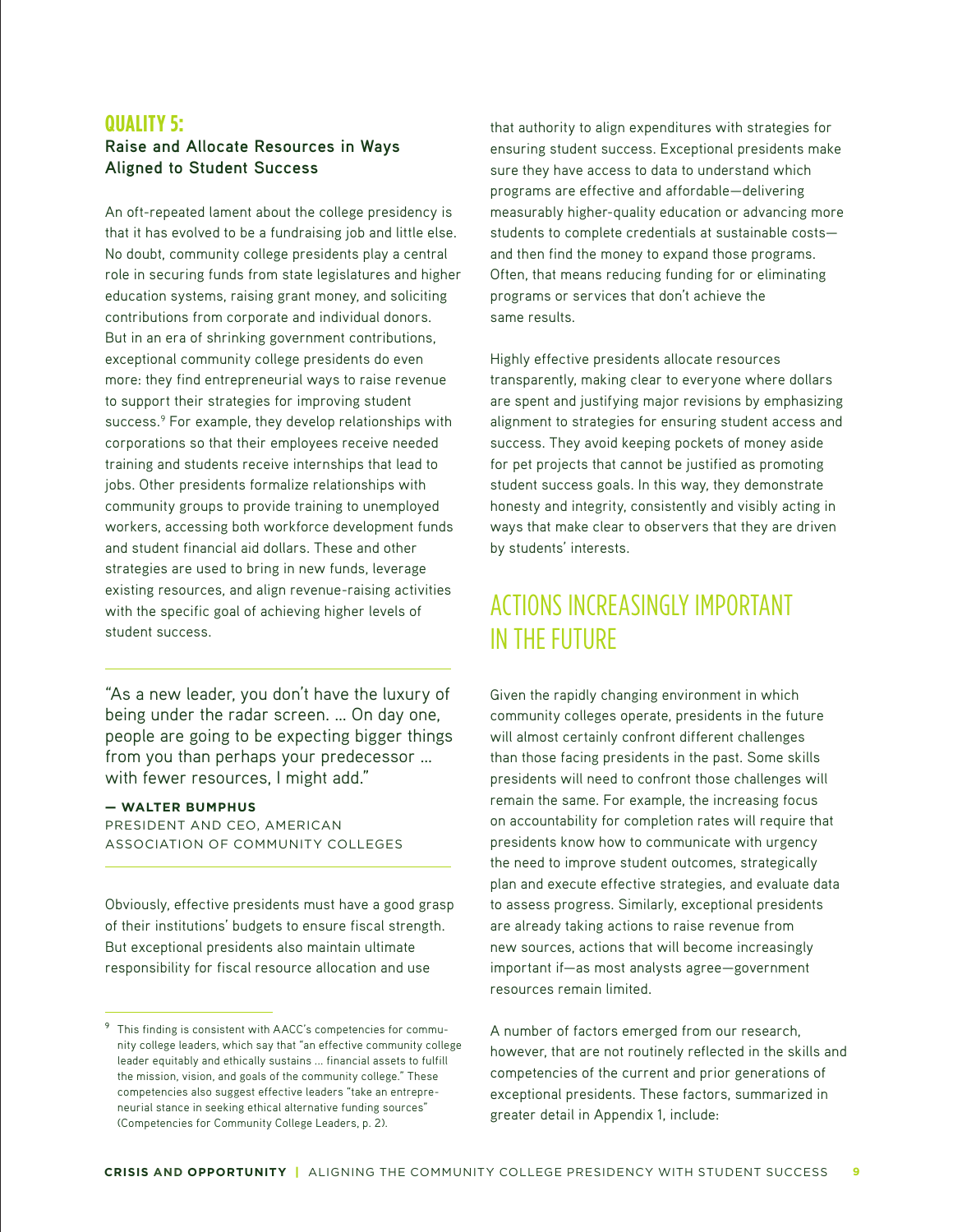## **QUALITY 5: Raise and Allocate Resources in Ways Aligned to Student Success**

An oft-repeated lament about the college presidency is that it has evolved to be a fundraising job and little else. No doubt, community college presidents play a central role in securing funds from state legislatures and higher education systems, raising grant money, and soliciting contributions from corporate and individual donors. But in an era of shrinking government contributions, exceptional community college presidents do even more: they find entrepreneurial ways to raise revenue to support their strategies for improving student success.<sup>9</sup> For example, they develop relationships with corporations so that their employees receive needed training and students receive internships that lead to jobs. Other presidents formalize relationships with community groups to provide training to unemployed workers, accessing both workforce development funds and student financial aid dollars. These and other strategies are used to bring in new funds, leverage existing resources, and align revenue-raising activities with the specific goal of achieving higher levels of student success.

"As a new leader, you don't have the luxury of being under the radar screen. … On day one, people are going to be expecting bigger things from you than perhaps your predecessor … with fewer resources, I might add."

#### **— WALTER BUMPHUS**

PRESIDENT AND CEO, AMERICAN ASSOCIATION OF COMMUNITY COLLEGES

Obviously, effective presidents must have a good grasp of their institutions' budgets to ensure fiscal strength. But exceptional presidents also maintain ultimate responsibility for fiscal resource allocation and use

that authority to align expenditures with strategies for ensuring student success. Exceptional presidents make sure they have access to data to understand which programs are effective and affordable—delivering measurably higher-quality education or advancing more students to complete credentials at sustainable costs and then find the money to expand those programs. Often, that means reducing funding for or eliminating programs or services that don't achieve the same results.

Highly effective presidents allocate resources transparently, making clear to everyone where dollars are spent and justifying major revisions by emphasizing alignment to strategies for ensuring student access and success. They avoid keeping pockets of money aside for pet projects that cannot be justified as promoting student success goals. In this way, they demonstrate honesty and integrity, consistently and visibly acting in ways that make clear to observers that they are driven by students' interests.

# ACTIONS INCREASINGLY IMPORTANT IN THE FUTURE

Given the rapidly changing environment in which community colleges operate, presidents in the future will almost certainly confront different challenges than those facing presidents in the past. Some skills presidents will need to confront those challenges will remain the same. For example, the increasing focus on accountability for completion rates will require that presidents know how to communicate with urgency the need to improve student outcomes, strategically plan and execute effective strategies, and evaluate data to assess progress. Similarly, exceptional presidents are already taking actions to raise revenue from new sources, actions that will become increasingly important if—as most analysts agree—government resources remain limited.

A number of factors emerged from our research, however, that are not routinely reflected in the skills and competencies of the current and prior generations of exceptional presidents. These factors, summarized in greater detail in Appendix 1, include:

<sup>&</sup>lt;sup>9</sup> This finding is consistent with AACC's competencies for community college leaders, which say that "an effective community college leader equitably and ethically sustains ... financial assets to fulfill the mission, vision, and goals of the community college." These competencies also suggest effective leaders "take an entrepreneurial stance in seeking ethical alternative funding sources" (Competencies for Community College Leaders, p. 2).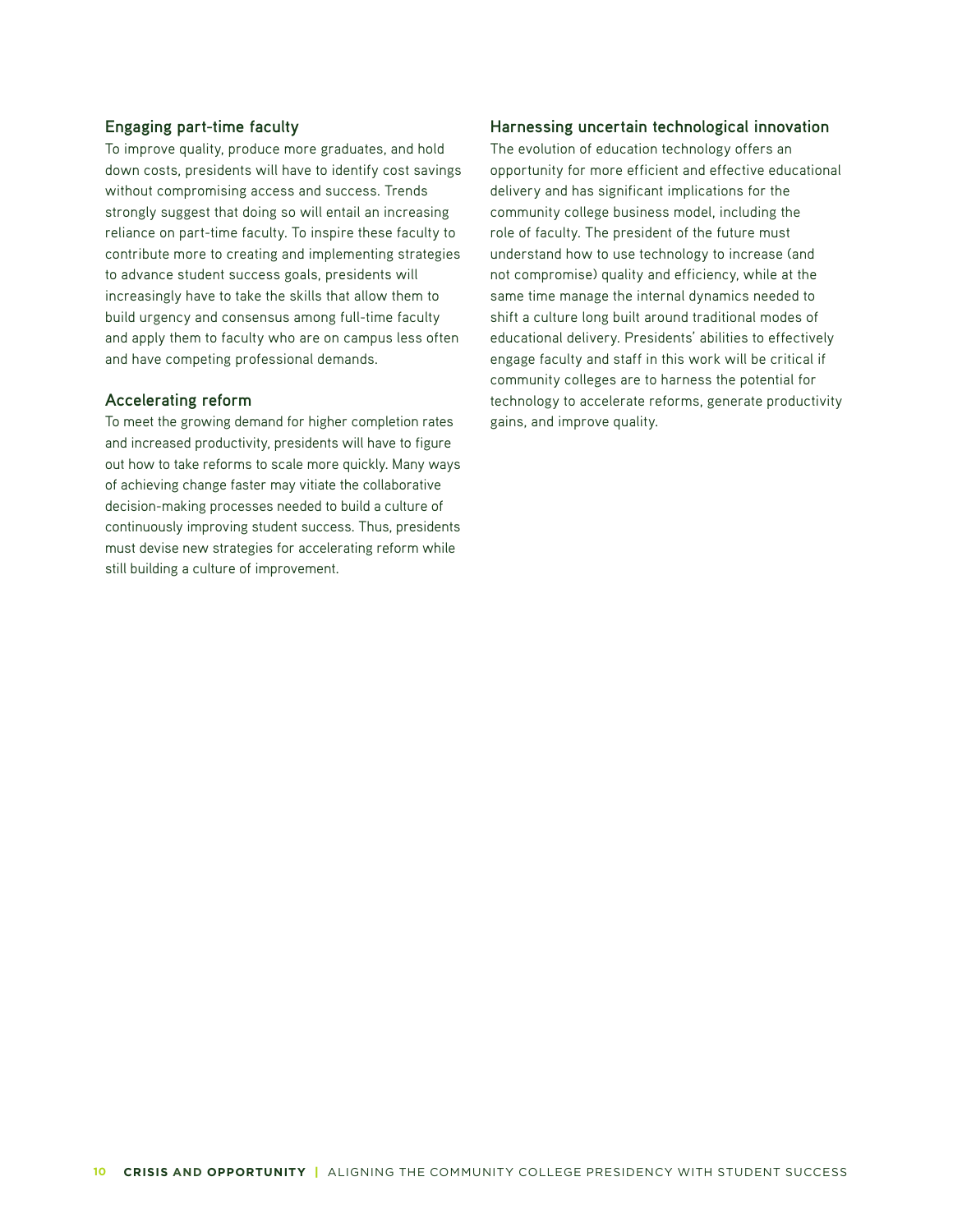#### **Engaging part-time faculty**

To improve quality, produce more graduates, and hold down costs, presidents will have to identify cost savings without compromising access and success. Trends strongly suggest that doing so will entail an increasing reliance on part-time faculty. To inspire these faculty to contribute more to creating and implementing strategies to advance student success goals, presidents will increasingly have to take the skills that allow them to build urgency and consensus among full-time faculty and apply them to faculty who are on campus less often and have competing professional demands.

#### **Accelerating reform**

To meet the growing demand for higher completion rates and increased productivity, presidents will have to figure out how to take reforms to scale more quickly. Many ways of achieving change faster may vitiate the collaborative decision-making processes needed to build a culture of continuously improving student success. Thus, presidents must devise new strategies for accelerating reform while still building a culture of improvement.

#### **Harnessing uncertain technological innovation**

The evolution of education technology offers an opportunity for more efficient and effective educational delivery and has significant implications for the community college business model, including the role of faculty. The president of the future must understand how to use technology to increase (and not compromise) quality and efficiency, while at the same time manage the internal dynamics needed to shift a culture long built around traditional modes of educational delivery. Presidents' abilities to effectively engage faculty and staff in this work will be critical if community colleges are to harness the potential for technology to accelerate reforms, generate productivity gains, and improve quality.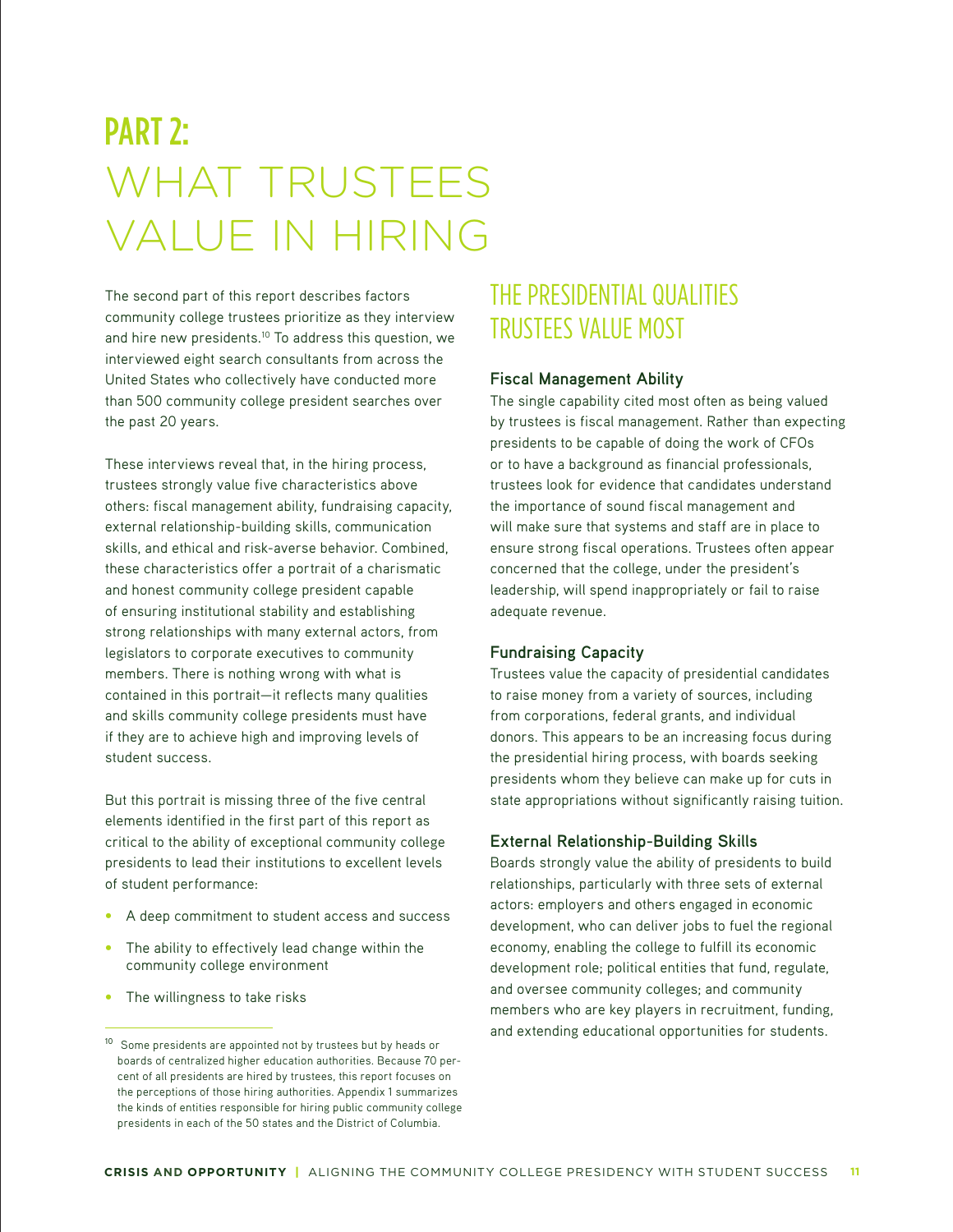# PART 2: WHAT TRUSTEES VALUE IN HIRING

The second part of this report describes factors community college trustees prioritize as they interview and hire new presidents.<sup>10</sup> To address this question, we interviewed eight search consultants from across the United States who collectively have conducted more than 500 community college president searches over the past 20 years.

These interviews reveal that, in the hiring process, trustees strongly value five characteristics above others: fiscal management ability, fundraising capacity, external relationship-building skills, communication skills, and ethical and risk-averse behavior. Combined, these characteristics offer a portrait of a charismatic and honest community college president capable of ensuring institutional stability and establishing strong relationships with many external actors, from legislators to corporate executives to community members. There is nothing wrong with what is contained in this portrait—it reflects many qualities and skills community college presidents must have if they are to achieve high and improving levels of student success.

But this portrait is missing three of the five central elements identified in the first part of this report as critical to the ability of exceptional community college presidents to lead their institutions to excellent levels of student performance:

- A deep commitment to student access and success
- **•** The ability to effectively lead change within the community college environment
- **•** The willingness to take risks

# THE PRESIDENTIAL QUALITIES TRUSTEES VALUE MOST

#### **Fiscal Management Ability**

The single capability cited most often as being valued by trustees is fiscal management. Rather than expecting presidents to be capable of doing the work of CFOs or to have a background as financial professionals, trustees look for evidence that candidates understand the importance of sound fiscal management and will make sure that systems and staff are in place to ensure strong fiscal operations. Trustees often appear concerned that the college, under the president's leadership, will spend inappropriately or fail to raise adequate revenue.

#### **Fundraising Capacity**

Trustees value the capacity of presidential candidates to raise money from a variety of sources, including from corporations, federal grants, and individual donors. This appears to be an increasing focus during the presidential hiring process, with boards seeking presidents whom they believe can make up for cuts in state appropriations without significantly raising tuition.

#### **External Relationship-Building Skills**

Boards strongly value the ability of presidents to build relationships, particularly with three sets of external actors: employers and others engaged in economic development, who can deliver jobs to fuel the regional economy, enabling the college to fulfill its economic development role; political entities that fund, regulate, and oversee community colleges; and community members who are key players in recruitment, funding, and extending educational opportunities for students.

<sup>&</sup>lt;sup>10</sup> Some presidents are appointed not by trustees but by heads or boards of centralized higher education authorities. Because 70 percent of all presidents are hired by trustees, this report focuses on the perceptions of those hiring authorities. Appendix 1 summarizes the kinds of entities responsible for hiring public community college presidents in each of the 50 states and the District of Columbia.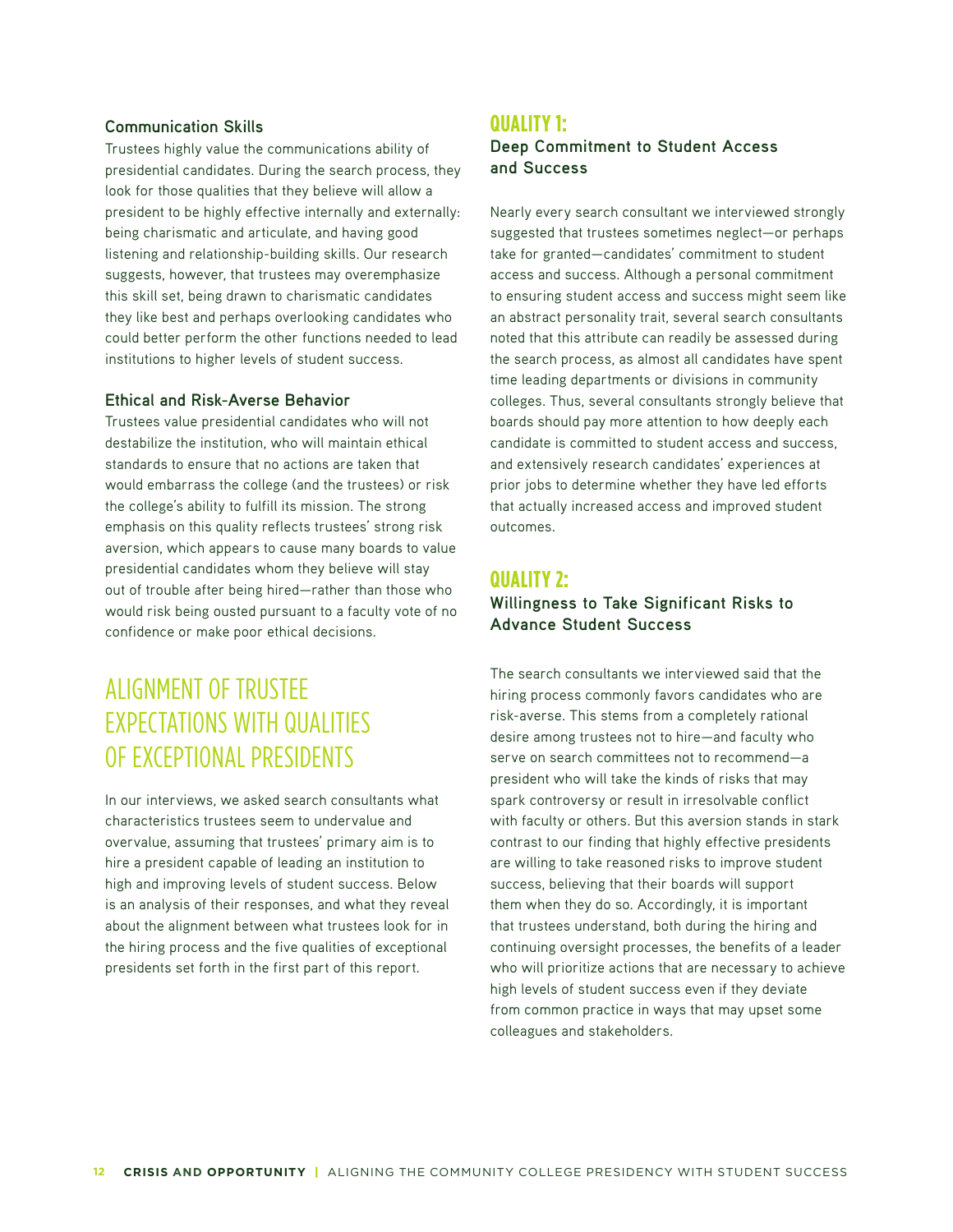#### **Communication Skills**

Trustees highly value the communications ability of presidential candidates. During the search process, they look for those qualities that they believe will allow a president to be highly effective internally and externally: being charismatic and articulate, and having good listening and relationship-building skills. Our research suggests, however, that trustees may overemphasize this skill set, being drawn to charismatic candidates they like best and perhaps overlooking candidates who could better perform the other functions needed to lead institutions to higher levels of student success.

#### **Ethical and Risk-Averse Behavior**

Trustees value presidential candidates who will not destabilize the institution, who will maintain ethical standards to ensure that no actions are taken that would embarrass the college (and the trustees) or risk the college's ability to fulfill its mission. The strong emphasis on this quality reflects trustees' strong risk aversion, which appears to cause many boards to value presidential candidates whom they believe will stay out of trouble after being hired—rather than those who would risk being ousted pursuant to a faculty vote of no confidence or make poor ethical decisions.

# ALIGNMENT OF TRUSTEE EXPECTATIONS WITH QUALITIES OF EXCEPTIONAL PRESIDENTS

In our interviews, we asked search consultants what characteristics trustees seem to undervalue and overvalue, assuming that trustees' primary aim is to hire a president capable of leading an institution to high and improving levels of student success. Below is an analysis of their responses, and what they reveal about the alignment between what trustees look for in the hiring process and the five qualities of exceptional presidents set forth in the first part of this report.

### **QUALITY 1:**

**Deep Commitment to Student Access and Success**

Nearly every search consultant we interviewed strongly suggested that trustees sometimes neglect—or perhaps take for granted—candidates' commitment to student access and success. Although a personal commitment to ensuring student access and success might seem like an abstract personality trait, several search consultants noted that this attribute can readily be assessed during the search process, as almost all candidates have spent time leading departments or divisions in community colleges. Thus, several consultants strongly believe that boards should pay more attention to how deeply each candidate is committed to student access and success, and extensively research candidates' experiences at prior jobs to determine whether they have led efforts that actually increased access and improved student outcomes.

## **QUALITY 2:**

## **Willingness to Take Significant Risks to Advance Student Success**

The search consultants we interviewed said that the hiring process commonly favors candidates who are risk-averse. This stems from a completely rational desire among trustees not to hire—and faculty who serve on search committees not to recommend—a president who will take the kinds of risks that may spark controversy or result in irresolvable conflict with faculty or others. But this aversion stands in stark contrast to our finding that highly effective presidents are willing to take reasoned risks to improve student success, believing that their boards will support them when they do so. Accordingly, it is important that trustees understand, both during the hiring and continuing oversight processes, the benefits of a leader who will prioritize actions that are necessary to achieve high levels of student success even if they deviate from common practice in ways that may upset some colleagues and stakeholders.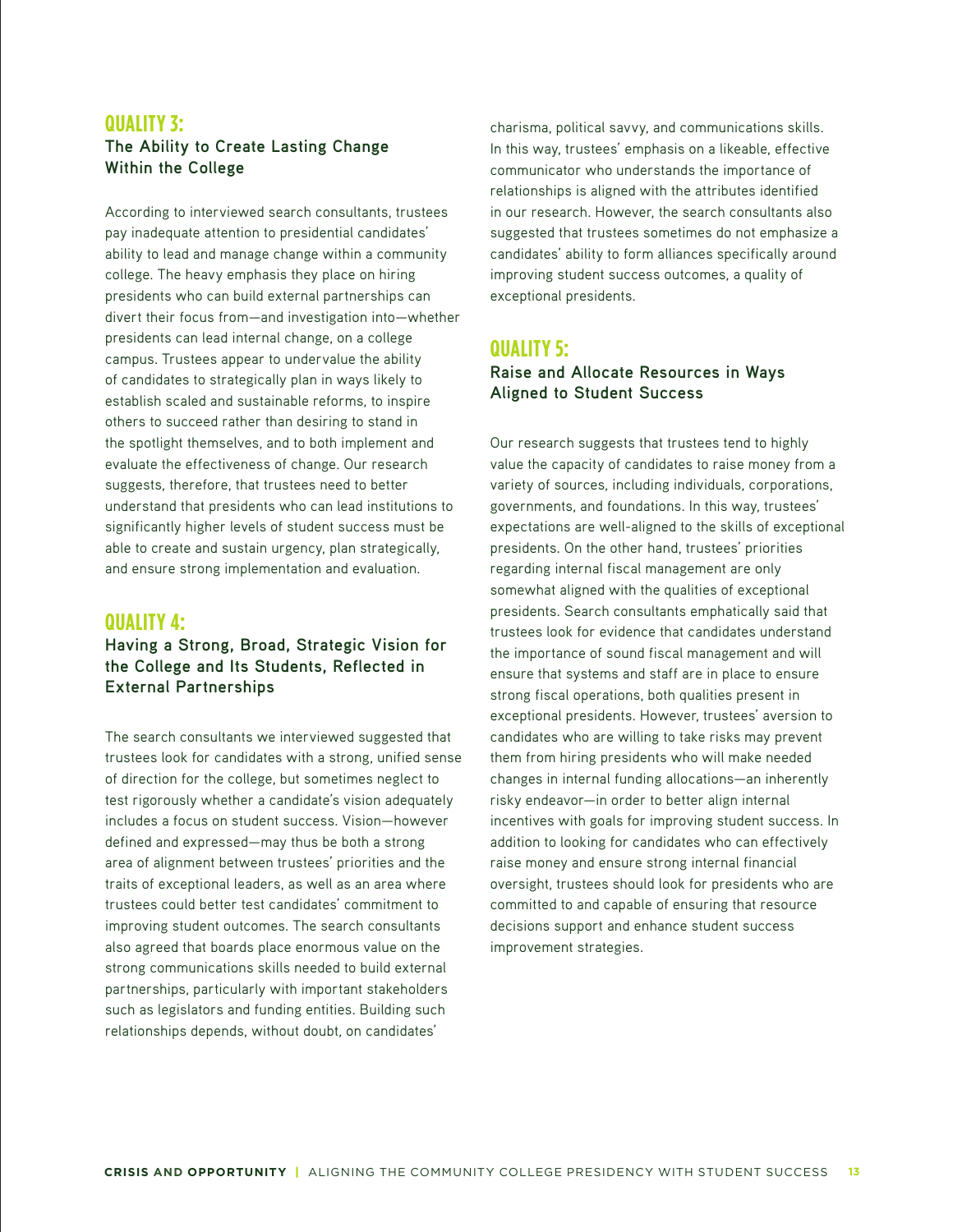## **QUALITY 3: The Ability to Create Lasting Change Within the College**

According to interviewed search consultants, trustees pay inadequate attention to presidential candidates' ability to lead and manage change within a community college. The heavy emphasis they place on hiring presidents who can build external partnerships can divert their focus from—and investigation into—whether presidents can lead internal change, on a college campus. Trustees appear to undervalue the ability of candidates to strategically plan in ways likely to establish scaled and sustainable reforms, to inspire others to succeed rather than desiring to stand in the spotlight themselves, and to both implement and evaluate the effectiveness of change. Our research suggests, therefore, that trustees need to better understand that presidents who can lead institutions to significantly higher levels of student success must be able to create and sustain urgency, plan strategically, and ensure strong implementation and evaluation.

## **QUALITY 4:**

## **Having a Strong, Broad, Strategic Vision for the College and Its Students, Reflected in External Partnerships**

The search consultants we interviewed suggested that trustees look for candidates with a strong, unified sense of direction for the college, but sometimes neglect to test rigorously whether a candidate's vision adequately includes a focus on student success. Vision—however defined and expressed—may thus be both a strong area of alignment between trustees' priorities and the traits of exceptional leaders, as well as an area where trustees could better test candidates' commitment to improving student outcomes. The search consultants also agreed that boards place enormous value on the strong communications skills needed to build external partnerships, particularly with important stakeholders such as legislators and funding entities. Building such relationships depends, without doubt, on candidates'

charisma, political savvy, and communications skills. In this way, trustees' emphasis on a likeable, effective communicator who understands the importance of relationships is aligned with the attributes identified in our research. However, the search consultants also suggested that trustees sometimes do not emphasize a candidates' ability to form alliances specifically around improving student success outcomes, a quality of exceptional presidents.

## **QUALITY 5:**

## **Raise and Allocate Resources in Ways Aligned to Student Success**

Our research suggests that trustees tend to highly value the capacity of candidates to raise money from a variety of sources, including individuals, corporations, governments, and foundations. In this way, trustees' expectations are well-aligned to the skills of exceptional presidents. On the other hand, trustees' priorities regarding internal fiscal management are only somewhat aligned with the qualities of exceptional presidents. Search consultants emphatically said that trustees look for evidence that candidates understand the importance of sound fiscal management and will ensure that systems and staff are in place to ensure strong fiscal operations, both qualities present in exceptional presidents. However, trustees' aversion to candidates who are willing to take risks may prevent them from hiring presidents who will make needed changes in internal funding allocations—an inherently risky endeavor—in order to better align internal incentives with goals for improving student success. In addition to looking for candidates who can effectively raise money and ensure strong internal financial oversight, trustees should look for presidents who are committed to and capable of ensuring that resource decisions support and enhance student success improvement strategies.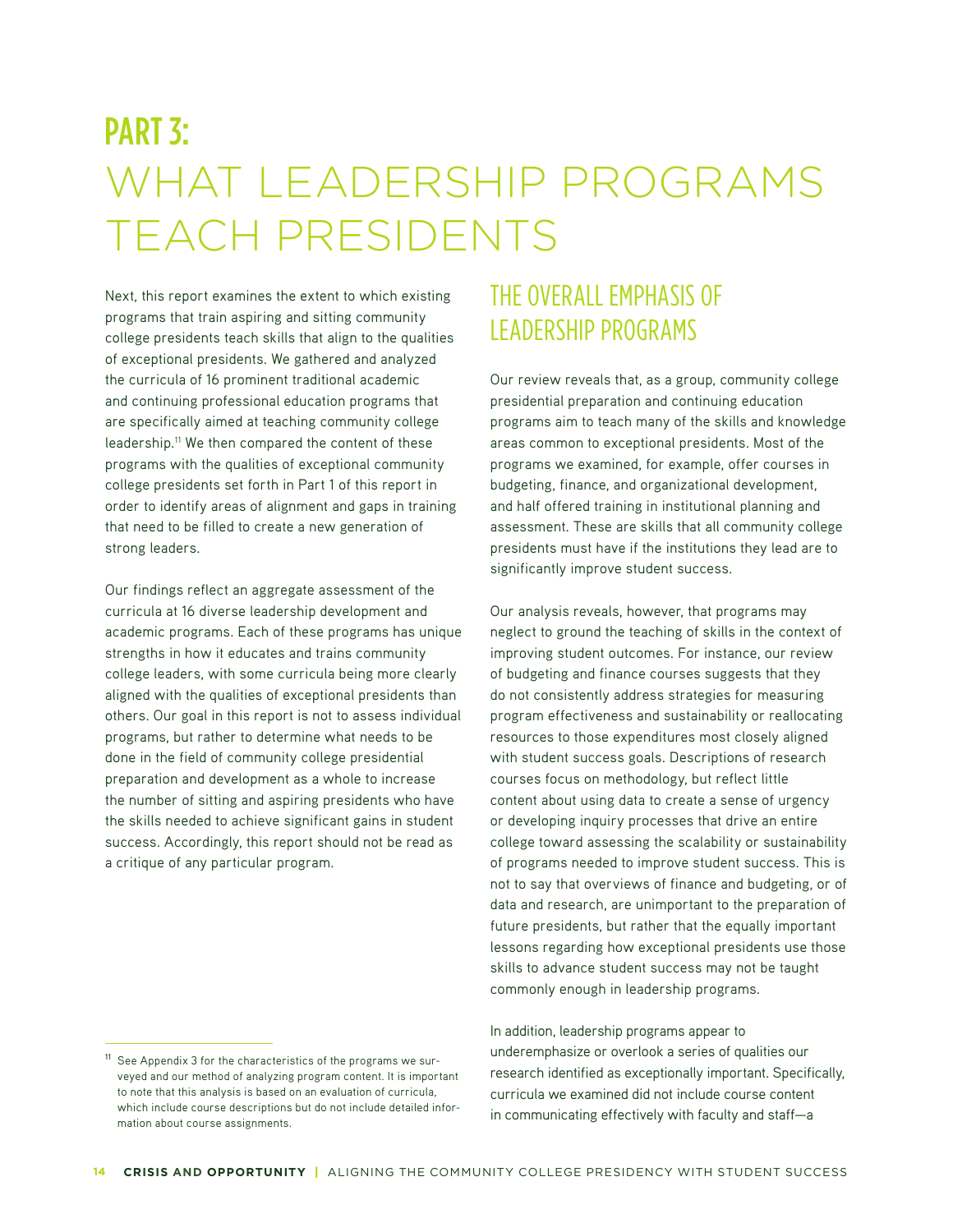# PART 3: WHAT LEADERSHIP PROGRAMS TEACH PRESIDENTS

Next, this report examines the extent to which existing programs that train aspiring and sitting community college presidents teach skills that align to the qualities of exceptional presidents. We gathered and analyzed the curricula of 16 prominent traditional academic and continuing professional education programs that are specifically aimed at teaching community college leadership.<sup>11</sup> We then compared the content of these programs with the qualities of exceptional community college presidents set forth in Part 1 of this report in order to identify areas of alignment and gaps in training that need to be filled to create a new generation of strong leaders.

Our findings reflect an aggregate assessment of the curricula at 16 diverse leadership development and academic programs. Each of these programs has unique strengths in how it educates and trains community college leaders, with some curricula being more clearly aligned with the qualities of exceptional presidents than others. Our goal in this report is not to assess individual programs, but rather to determine what needs to be done in the field of community college presidential preparation and development as a whole to increase the number of sitting and aspiring presidents who have the skills needed to achieve significant gains in student success. Accordingly, this report should not be read as a critique of any particular program.

# THE OVERALL EMPHASIS OF LEADERSHIP PROGRAMS

Our review reveals that, as a group, community college presidential preparation and continuing education programs aim to teach many of the skills and knowledge areas common to exceptional presidents. Most of the programs we examined, for example, offer courses in budgeting, finance, and organizational development, and half offered training in institutional planning and assessment. These are skills that all community college presidents must have if the institutions they lead are to significantly improve student success.

Our analysis reveals, however, that programs may neglect to ground the teaching of skills in the context of improving student outcomes. For instance, our review of budgeting and finance courses suggests that they do not consistently address strategies for measuring program effectiveness and sustainability or reallocating resources to those expenditures most closely aligned with student success goals. Descriptions of research courses focus on methodology, but reflect little content about using data to create a sense of urgency or developing inquiry processes that drive an entire college toward assessing the scalability or sustainability of programs needed to improve student success. This is not to say that overviews of finance and budgeting, or of data and research, are unimportant to the preparation of future presidents, but rather that the equally important lessons regarding how exceptional presidents use those skills to advance student success may not be taught commonly enough in leadership programs.

In addition, leadership programs appear to underemphasize or overlook a series of qualities our research identified as exceptionally important. Specifically, curricula we examined did not include course content in communicating effectively with faculty and staff—a

<sup>&</sup>lt;sup>11</sup> See Appendix 3 for the characteristics of the programs we surveyed and our method of analyzing program content. It is important to note that this analysis is based on an evaluation of curricula, which include course descriptions but do not include detailed information about course assignments.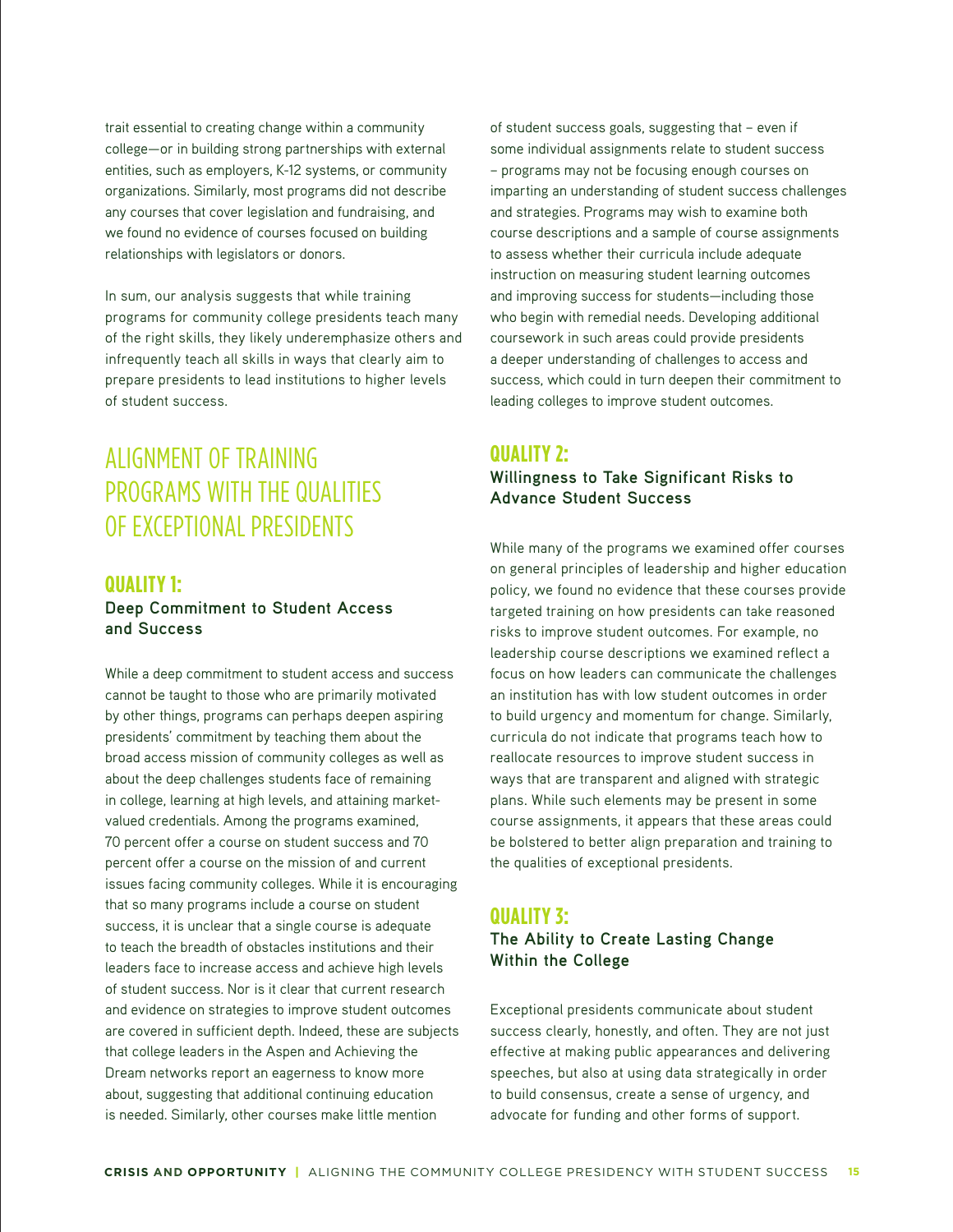trait essential to creating change within a community college—or in building strong partnerships with external entities, such as employers, K-12 systems, or community organizations. Similarly, most programs did not describe any courses that cover legislation and fundraising, and we found no evidence of courses focused on building relationships with legislators or donors.

In sum, our analysis suggests that while training programs for community college presidents teach many of the right skills, they likely underemphasize others and infrequently teach all skills in ways that clearly aim to prepare presidents to lead institutions to higher levels of student success.

# ALIGNMENT OF TRAINING PROGRAMS WITH THE QUALITIES OF EXCEPTIONAL PRESIDENTS

## **QUALITY 1:**

## **Deep Commitment to Student Access and Success**

While a deep commitment to student access and success cannot be taught to those who are primarily motivated by other things, programs can perhaps deepen aspiring presidents' commitment by teaching them about the broad access mission of community colleges as well as about the deep challenges students face of remaining in college, learning at high levels, and attaining marketvalued credentials. Among the programs examined, 70 percent offer a course on student success and 70 percent offer a course on the mission of and current issues facing community colleges. While it is encouraging that so many programs include a course on student success, it is unclear that a single course is adequate to teach the breadth of obstacles institutions and their leaders face to increase access and achieve high levels of student success. Nor is it clear that current research and evidence on strategies to improve student outcomes are covered in sufficient depth. Indeed, these are subjects that college leaders in the Aspen and Achieving the Dream networks report an eagerness to know more about, suggesting that additional continuing education is needed. Similarly, other courses make little mention

of student success goals, suggesting that – even if some individual assignments relate to student success – programs may not be focusing enough courses on imparting an understanding of student success challenges and strategies. Programs may wish to examine both course descriptions and a sample of course assignments to assess whether their curricula include adequate instruction on measuring student learning outcomes and improving success for students—including those who begin with remedial needs. Developing additional coursework in such areas could provide presidents a deeper understanding of challenges to access and success, which could in turn deepen their commitment to leading colleges to improve student outcomes.

## **QUALITY 2:**

## **Willingness to Take Significant Risks to Advance Student Success**

While many of the programs we examined offer courses on general principles of leadership and higher education policy, we found no evidence that these courses provide targeted training on how presidents can take reasoned risks to improve student outcomes. For example, no leadership course descriptions we examined reflect a focus on how leaders can communicate the challenges an institution has with low student outcomes in order to build urgency and momentum for change. Similarly, curricula do not indicate that programs teach how to reallocate resources to improve student success in ways that are transparent and aligned with strategic plans. While such elements may be present in some course assignments, it appears that these areas could be bolstered to better align preparation and training to the qualities of exceptional presidents.

## **QUALITY 3:**

## **The Ability to Create Lasting Change Within the College**

Exceptional presidents communicate about student success clearly, honestly, and often. They are not just effective at making public appearances and delivering speeches, but also at using data strategically in order to build consensus, create a sense of urgency, and advocate for funding and other forms of support.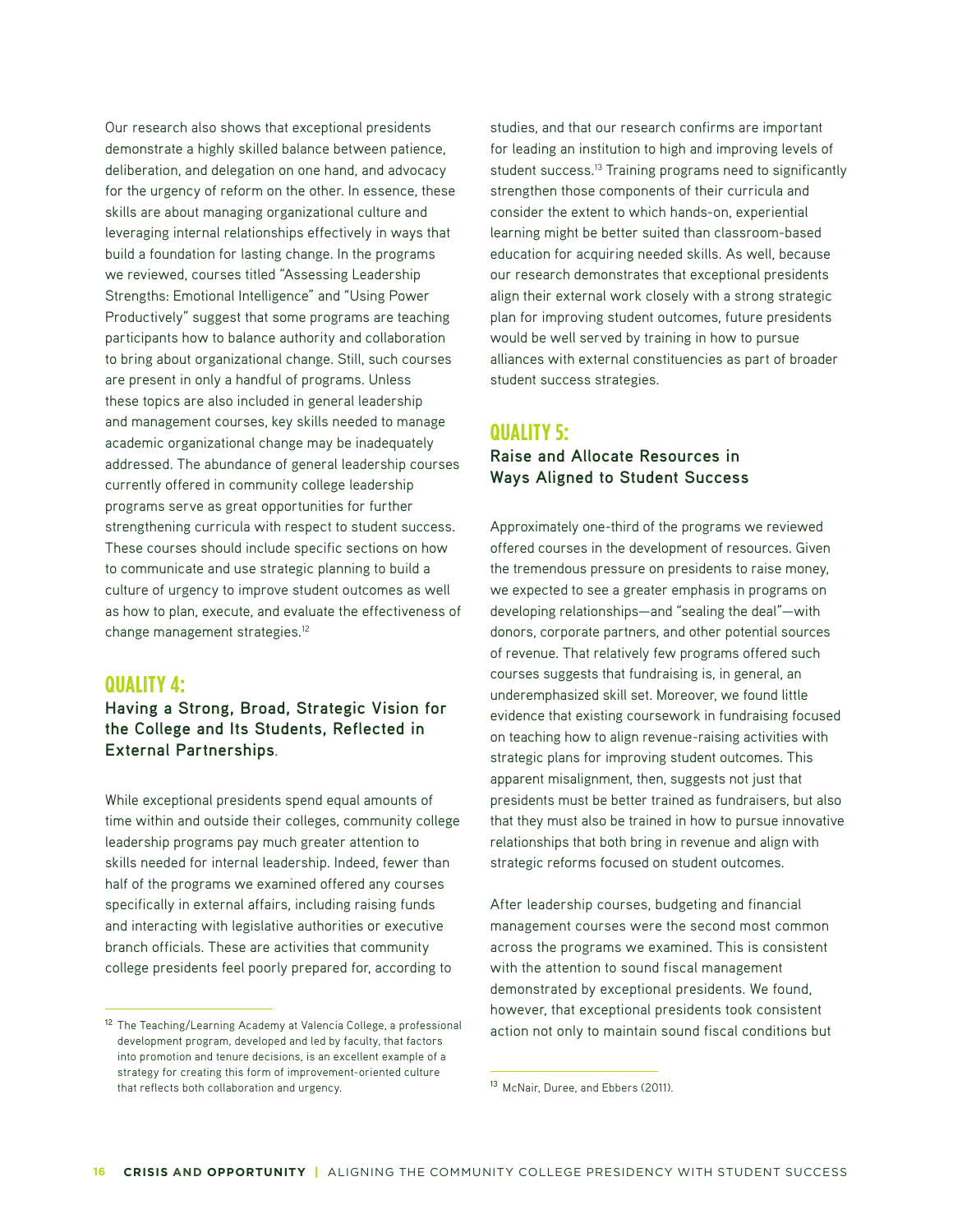Our research also shows that exceptional presidents demonstrate a highly skilled balance between patience, deliberation, and delegation on one hand, and advocacy for the urgency of reform on the other. In essence, these skills are about managing organizational culture and leveraging internal relationships effectively in ways that build a foundation for lasting change. In the programs we reviewed, courses titled "Assessing Leadership Strengths: Emotional Intelligence" and "Using Power Productively" suggest that some programs are teaching participants how to balance authority and collaboration to bring about organizational change. Still, such courses are present in only a handful of programs. Unless these topics are also included in general leadership and management courses, key skills needed to manage academic organizational change may be inadequately addressed. The abundance of general leadership courses currently offered in community college leadership programs serve as great opportunities for further strengthening curricula with respect to student success. These courses should include specific sections on how to communicate and use strategic planning to build a culture of urgency to improve student outcomes as well as how to plan, execute, and evaluate the effectiveness of change management strategies.12

## **QUALITY 4:**

**Having a Strong, Broad, Strategic Vision for the College and Its Students, Reflected in External Partnerships**.

While exceptional presidents spend equal amounts of time within and outside their colleges, community college leadership programs pay much greater attention to skills needed for internal leadership. Indeed, fewer than half of the programs we examined offered any courses specifically in external affairs, including raising funds and interacting with legislative authorities or executive branch officials. These are activities that community college presidents feel poorly prepared for, according to

studies, and that our research confirms are important for leading an institution to high and improving levels of student success.<sup>13</sup> Training programs need to significantly strengthen those components of their curricula and consider the extent to which hands-on, experiential learning might be better suited than classroom-based education for acquiring needed skills. As well, because our research demonstrates that exceptional presidents align their external work closely with a strong strategic plan for improving student outcomes, future presidents would be well served by training in how to pursue alliances with external constituencies as part of broader student success strategies.

## **QUALITY 5:**

### **Raise and Allocate Resources in Ways Aligned to Student Success**

Approximately one-third of the programs we reviewed offered courses in the development of resources. Given the tremendous pressure on presidents to raise money, we expected to see a greater emphasis in programs on developing relationships—and "sealing the deal"—with donors, corporate partners, and other potential sources of revenue. That relatively few programs offered such courses suggests that fundraising is, in general, an underemphasized skill set. Moreover, we found little evidence that existing coursework in fundraising focused on teaching how to align revenue-raising activities with strategic plans for improving student outcomes. This apparent misalignment, then, suggests not just that presidents must be better trained as fundraisers, but also that they must also be trained in how to pursue innovative relationships that both bring in revenue and align with strategic reforms focused on student outcomes.

After leadership courses, budgeting and financial management courses were the second most common across the programs we examined. This is consistent with the attention to sound fiscal management demonstrated by exceptional presidents. We found, however, that exceptional presidents took consistent action not only to maintain sound fiscal conditions but

<sup>&</sup>lt;sup>12</sup> The Teaching/Learning Academy at Valencia College, a professional development program, developed and led by faculty, that factors into promotion and tenure decisions, is an excellent example of a strategy for creating this form of improvement-oriented culture that reflects both collaboration and urgency.

<sup>13</sup> McNair, Duree, and Ebbers (2011).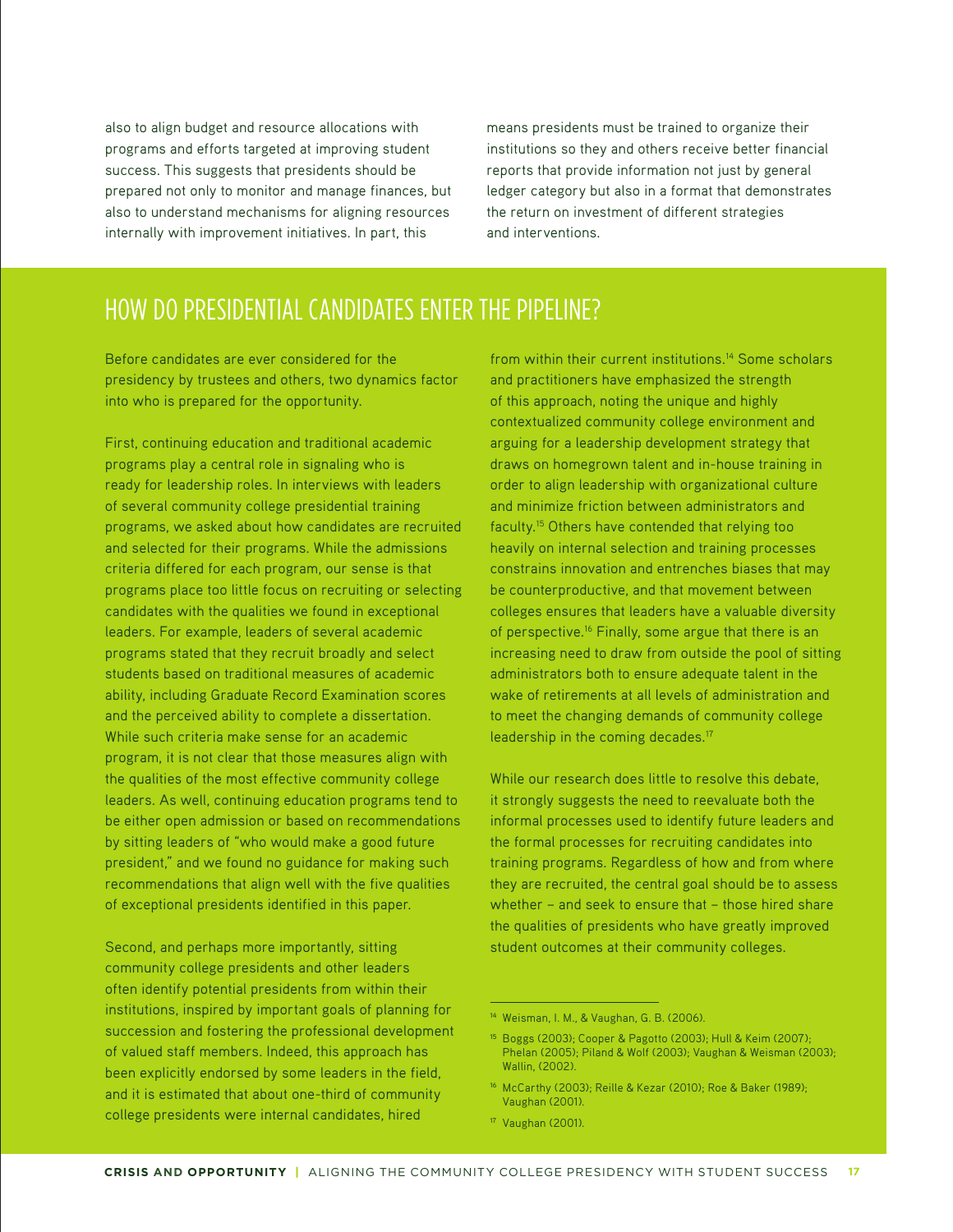also to align budget and resource allocations with programs and efforts targeted at improving student success. This suggests that presidents should be prepared not only to monitor and manage finances, but also to understand mechanisms for aligning resources internally with improvement initiatives. In part, this

means presidents must be trained to organize their institutions so they and others receive better financial reports that provide information not just by general ledger category but also in a format that demonstrates the return on investment of different strategies and interventions.

## HOW DO PRESIDENTIAL CANDIDATES ENTER THE PIPELINE?

Before candidates are ever considered for the presidency by trustees and others, two dynamics factor into who is prepared for the opportunity.

First, continuing education and traditional academic programs play a central role in signaling who is ready for leadership roles. In interviews with leaders of several community college presidential training programs, we asked about how candidates are recruited and selected for their programs. While the admissions criteria differed for each program, our sense is that programs place too little focus on recruiting or selecting candidates with the qualities we found in exceptional leaders. For example, leaders of several academic programs stated that they recruit broadly and select students based on traditional measures of academic ability, including Graduate Record Examination scores and the perceived ability to complete a dissertation. While such criteria make sense for an academic program, it is not clear that those measures align with the qualities of the most effective community college leaders. As well, continuing education programs tend to be either open admission or based on recommendations by sitting leaders of "who would make a good future president," and we found no guidance for making such recommendations that align well with the five qualities of exceptional presidents identified in this paper.

Second, and perhaps more importantly, sitting community college presidents and other leaders often identify potential presidents from within their institutions, inspired by important goals of planning for succession and fostering the professional development of valued staff members. Indeed, this approach has been explicitly endorsed by some leaders in the field, and it is estimated that about one-third of community college presidents were internal candidates, hired

from within their current institutions.<sup>14</sup> Some scholars and practitioners have emphasized the strength of this approach, noting the unique and highly contextualized community college environment and arguing for a leadership development strategy that draws on homegrown talent and in-house training in order to align leadership with organizational culture and minimize friction between administrators and faculty.15 Others have contended that relying too heavily on internal selection and training processes constrains innovation and entrenches biases that may be counterproductive, and that movement between colleges ensures that leaders have a valuable diversity of perspective.16 Finally, some argue that there is an increasing need to draw from outside the pool of sitting administrators both to ensure adequate talent in the wake of retirements at all levels of administration and to meet the changing demands of community college leadership in the coming decades.17

While our research does little to resolve this debate, it strongly suggests the need to reevaluate both the informal processes used to identify future leaders and the formal processes for recruiting candidates into training programs. Regardless of how and from where they are recruited, the central goal should be to assess whether – and seek to ensure that – those hired share the qualities of presidents who have greatly improved student outcomes at their community colleges.

<sup>17</sup> Vaughan (2001).

<sup>14</sup> Weisman, I. M., & Vaughan, G. B. (2006).

<sup>15</sup> Boggs (2003); Cooper & Pagotto (2003); Hull & Keim (2007); Phelan (2005); Piland & Wolf (2003); Vaughan & Weisman (2003); Wallin, (2002).

<sup>16</sup> McCarthy (2003); Reille & Kezar (2010); Roe & Baker (1989); Vaughan (2001).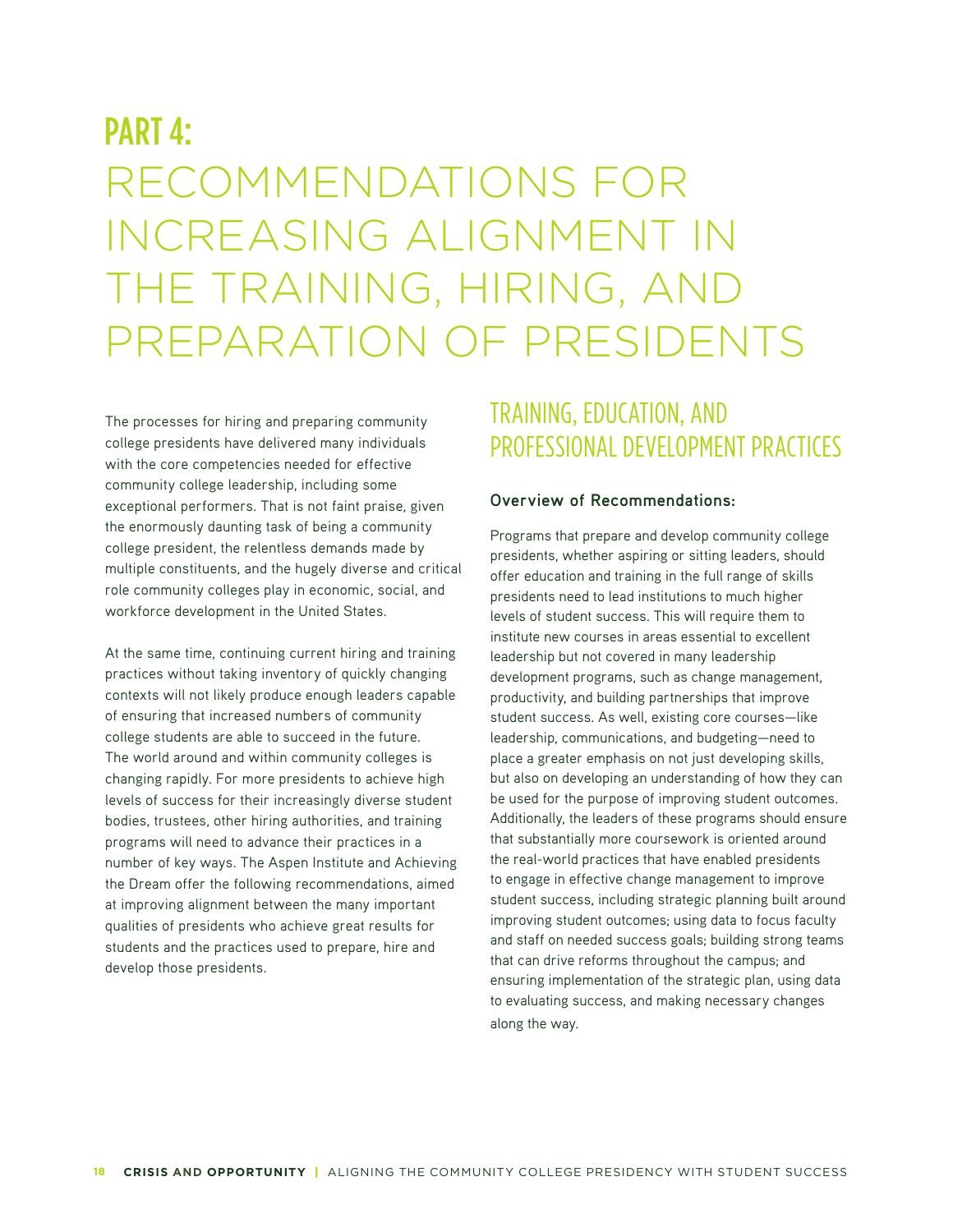# PART 4: RECOMMENDATIONS FOR INCREASING ALIGNMENT IN THE TRAINING, HIRING, AND PREPARATION OF PRESIDENTS

The processes for hiring and preparing community college presidents have delivered many individuals with the core competencies needed for effective community college leadership, including some exceptional performers. That is not faint praise, given the enormously daunting task of being a community college president, the relentless demands made by multiple constituents, and the hugely diverse and critical role community colleges play in economic, social, and workforce development in the United States.

At the same time, continuing current hiring and training practices without taking inventory of quickly changing contexts will not likely produce enough leaders capable of ensuring that increased numbers of community college students are able to succeed in the future. The world around and within community colleges is changing rapidly. For more presidents to achieve high levels of success for their increasingly diverse student bodies, trustees, other hiring authorities, and training programs will need to advance their practices in a number of key ways. The Aspen Institute and Achieving the Dream offer the following recommendations, aimed at improving alignment between the many important qualities of presidents who achieve great results for students and the practices used to prepare, hire and develop those presidents.

# TRAINING, EDUCATION, AND PROFESSIONAL DEVELOPMENT PRACTICES

#### **Overview of Recommendations:**

Programs that prepare and develop community college presidents, whether aspiring or sitting leaders, should offer education and training in the full range of skills presidents need to lead institutions to much higher levels of student success. This will require them to institute new courses in areas essential to excellent leadership but not covered in many leadership development programs, such as change management, productivity, and building partnerships that improve student success. As well, existing core courses—like leadership, communications, and budgeting—need to place a greater emphasis on not just developing skills, but also on developing an understanding of how they can be used for the purpose of improving student outcomes. Additionally, the leaders of these programs should ensure that substantially more coursework is oriented around the real-world practices that have enabled presidents to engage in effective change management to improve student success, including strategic planning built around improving student outcomes; using data to focus faculty and staff on needed success goals; building strong teams that can drive reforms throughout the campus; and ensuring implementation of the strategic plan, using data to evaluating success, and making necessary changes along the way.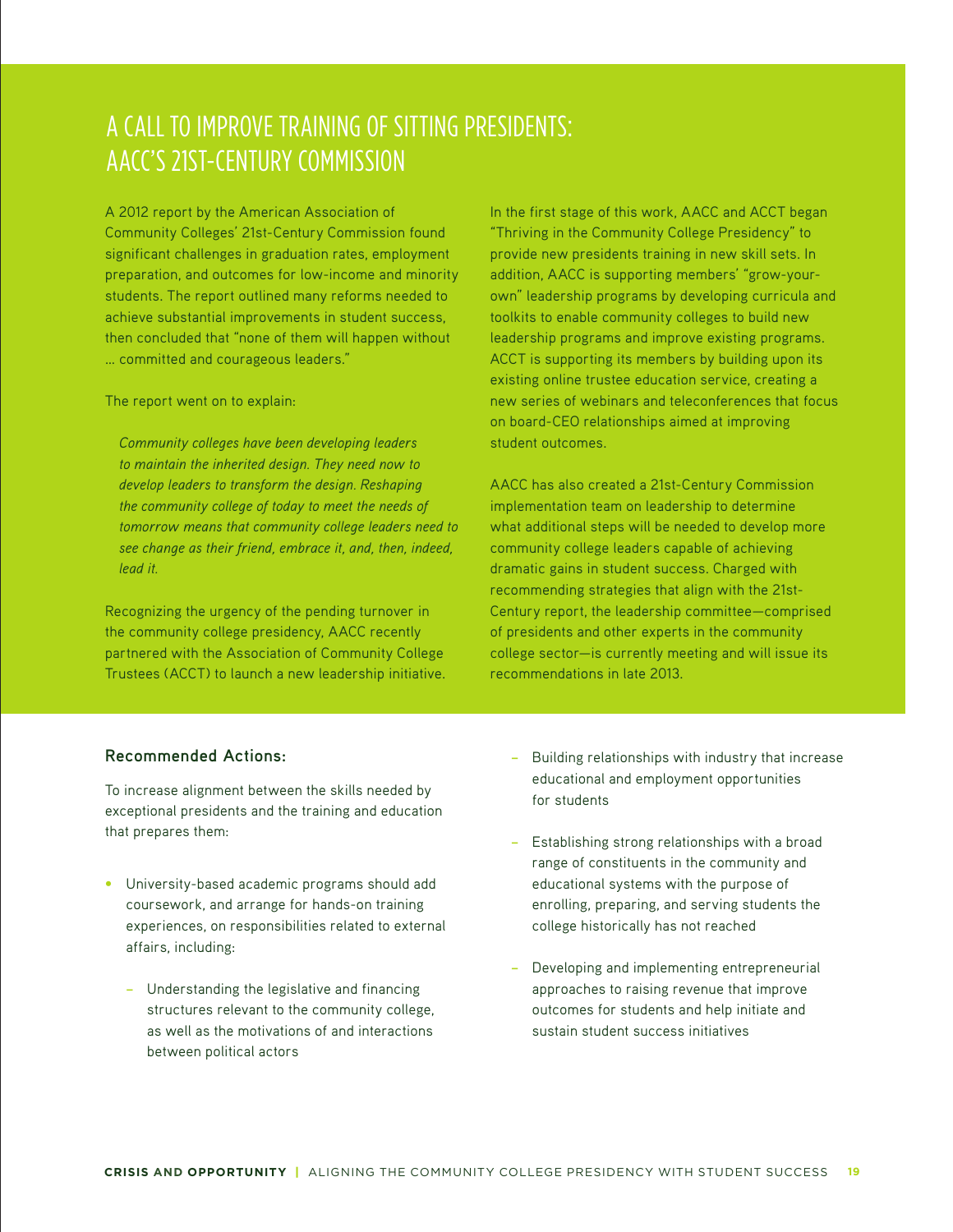# A CALL TO IMPROVE TRAINING OF SITTING PRESIDENTS: AACC'S 21ST-CENTURY COMMISSION

A 2012 report by the American Association of Community Colleges' 21st-Century Commission found significant challenges in graduation rates, employment preparation, and outcomes for low-income and minority students. The report outlined many reforms needed to achieve substantial improvements in student success, then concluded that "none of them will happen without … committed and courageous leaders."

The report went on to explain:

*Community colleges have been developing leaders to maintain the inherited design. They need now to develop leaders to transform the design. Reshaping the community college of today to meet the needs of tomorrow means that community college leaders need to see change as their friend, embrace it, and, then, indeed, lead it.*

Recognizing the urgency of the pending turnover in the community college presidency, AACC recently partnered with the Association of Community College Trustees (ACCT) to launch a new leadership initiative. In the first stage of this work, AACC and ACCT began "Thriving in the Community College Presidency" to provide new presidents training in new skill sets. In addition, AACC is supporting members' "grow-yourown" leadership programs by developing curricula and toolkits to enable community colleges to build new leadership programs and improve existing programs. ACCT is supporting its members by building upon its existing online trustee education service, creating a new series of webinars and teleconferences that focus on board-CEO relationships aimed at improving student outcomes.

AACC has also created a 21st-Century Commission implementation team on leadership to determine what additional steps will be needed to develop more community college leaders capable of achieving dramatic gains in student success. Charged with recommending strategies that align with the 21st-Century report, the leadership committee—comprised of presidents and other experts in the community college sector—is currently meeting and will issue its recommendations in late 2013.

### **Recommended Actions:**

To increase alignment between the skills needed by exceptional presidents and the training and education that prepares them:

- University-based academic programs should add coursework, and arrange for hands-on training experiences, on responsibilities related to external affairs, including:
	- − Understanding the legislative and financing structures relevant to the community college, as well as the motivations of and interactions between political actors
- − Building relationships with industry that increase educational and employment opportunities for students
- − Establishing strong relationships with a broad range of constituents in the community and educational systems with the purpose of enrolling, preparing, and serving students the college historically has not reached
- Developing and implementing entrepreneurial approaches to raising revenue that improve outcomes for students and help initiate and sustain student success initiatives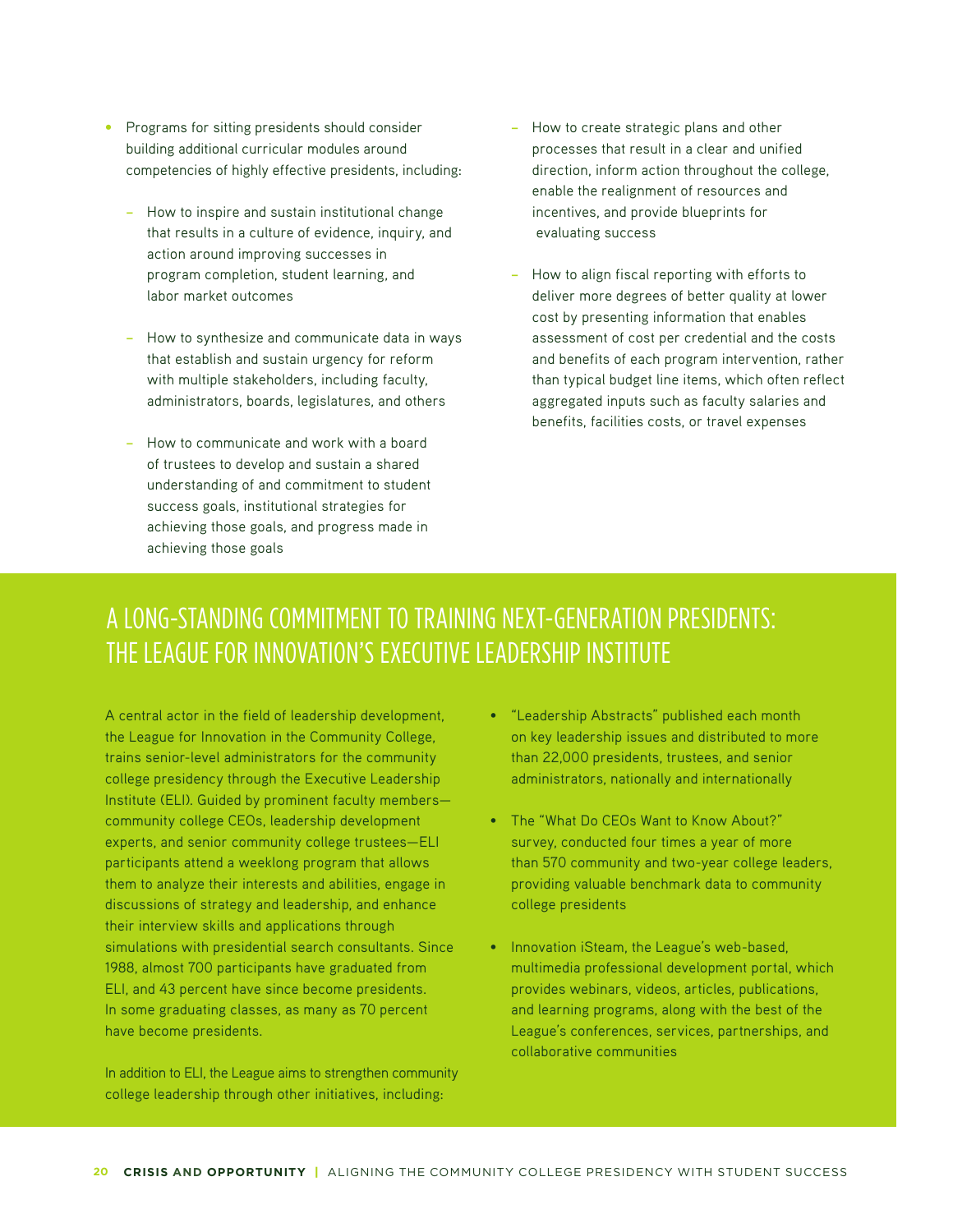- **•** Programs for sitting presidents should consider building additional curricular modules around competencies of highly effective presidents, including:
	- − How to inspire and sustain institutional change that results in a culture of evidence, inquiry, and action around improving successes in program completion, student learning, and labor market outcomes
	- − How to synthesize and communicate data in ways that establish and sustain urgency for reform with multiple stakeholders, including faculty, administrators, boards, legislatures, and others
	- How to communicate and work with a board of trustees to develop and sustain a shared understanding of and commitment to student success goals, institutional strategies for achieving those goals, and progress made in achieving those goals
- − How to create strategic plans and other processes that result in a clear and unified direction, inform action throughout the college, enable the realignment of resources and incentives, and provide blueprints for evaluating success
- How to align fiscal reporting with efforts to deliver more degrees of better quality at lower cost by presenting information that enables assessment of cost per credential and the costs and benefits of each program intervention, rather than typical budget line items, which often reflect aggregated inputs such as faculty salaries and benefits, facilities costs, or travel expenses

# A LONG-STANDING COMMITMENT TO TRAINING NEXT-GENERATION PRESIDENTS: THE LEAGUE FOR INNOVATION'S EXECUTIVE LEADERSHIP INSTITUTE

A central actor in the field of leadership development, the League for Innovation in the Community College, trains senior-level administrators for the community college presidency through the Executive Leadership Institute (ELI). Guided by prominent faculty members community college CEOs, leadership development experts, and senior community college trustees—ELI participants attend a weeklong program that allows them to analyze their interests and abilities, engage in discussions of strategy and leadership, and enhance their interview skills and applications through simulations with presidential search consultants. Since 1988, almost 700 participants have graduated from ELI, and 43 percent have since become presidents. In some graduating classes, as many as 70 percent have become presidents.

In addition to ELI, the League aims to strengthen community college leadership through other initiatives, including:

- "Leadership Abstracts" published each month on key leadership issues and distributed to more than 22,000 presidents, trustees, and senior administrators, nationally and internationally
- The "What Do CEOs Want to Know About?" survey, conducted four times a year of more than 570 community and two-year college leaders, providing valuable benchmark data to community college presidents
- Innovation iSteam, the League's web-based, multimedia professional development portal, which provides webinars, videos, articles, publications, and learning programs, along with the best of the League's conferences, services, partnerships, and collaborative communities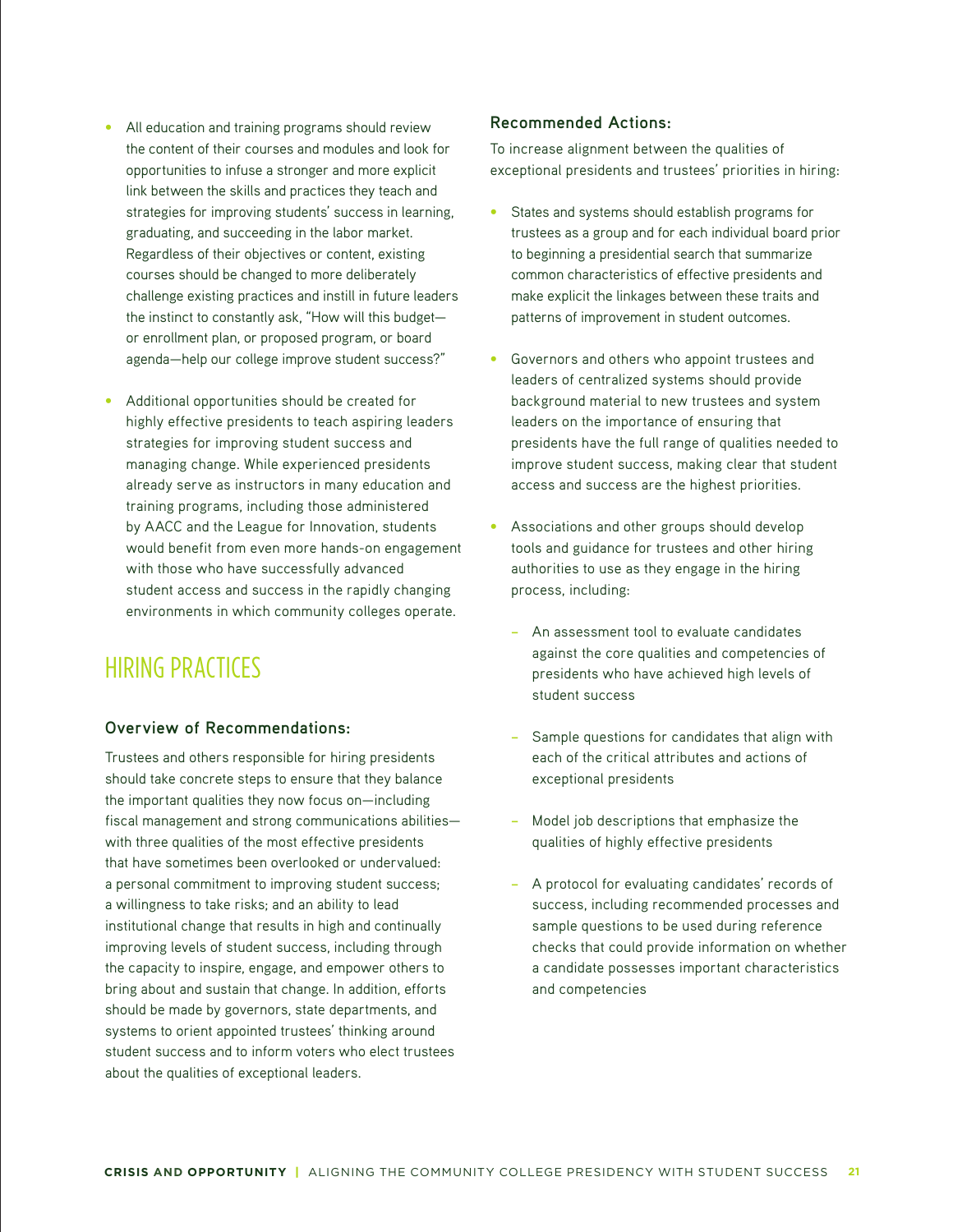- **•** All education and training programs should review the content of their courses and modules and look for opportunities to infuse a stronger and more explicit link between the skills and practices they teach and strategies for improving students' success in learning, graduating, and succeeding in the labor market. Regardless of their objectives or content, existing courses should be changed to more deliberately challenge existing practices and instill in future leaders the instinct to constantly ask, "How will this budget or enrollment plan, or proposed program, or board agenda—help our college improve student success?"
- Additional opportunities should be created for highly effective presidents to teach aspiring leaders strategies for improving student success and managing change. While experienced presidents already serve as instructors in many education and training programs, including those administered by AACC and the League for Innovation, students would benefit from even more hands-on engagement with those who have successfully advanced student access and success in the rapidly changing environments in which community colleges operate.

# HIRING PRACTICES

### **Overview of Recommendations:**

Trustees and others responsible for hiring presidents should take concrete steps to ensure that they balance the important qualities they now focus on—including fiscal management and strong communications abilities with three qualities of the most effective presidents that have sometimes been overlooked or undervalued: a personal commitment to improving student success; a willingness to take risks; and an ability to lead institutional change that results in high and continually improving levels of student success, including through the capacity to inspire, engage, and empower others to bring about and sustain that change. In addition, efforts should be made by governors, state departments, and systems to orient appointed trustees' thinking around student success and to inform voters who elect trustees about the qualities of exceptional leaders.

### **Recommended Actions:**

To increase alignment between the qualities of exceptional presidents and trustees' priorities in hiring:

- States and systems should establish programs for trustees as a group and for each individual board prior to beginning a presidential search that summarize common characteristics of effective presidents and make explicit the linkages between these traits and patterns of improvement in student outcomes.
- Governors and others who appoint trustees and leaders of centralized systems should provide background material to new trustees and system leaders on the importance of ensuring that presidents have the full range of qualities needed to improve student success, making clear that student access and success are the highest priorities.
- Associations and other groups should develop tools and guidance for trustees and other hiring authorities to use as they engage in the hiring process, including:
	- − An assessment tool to evaluate candidates against the core qualities and competencies of presidents who have achieved high levels of student success
	- Sample questions for candidates that align with each of the critical attributes and actions of exceptional presidents
	- Model job descriptions that emphasize the qualities of highly effective presidents
	- − A protocol for evaluating candidates' records of success, including recommended processes and sample questions to be used during reference checks that could provide information on whether a candidate possesses important characteristics and competencies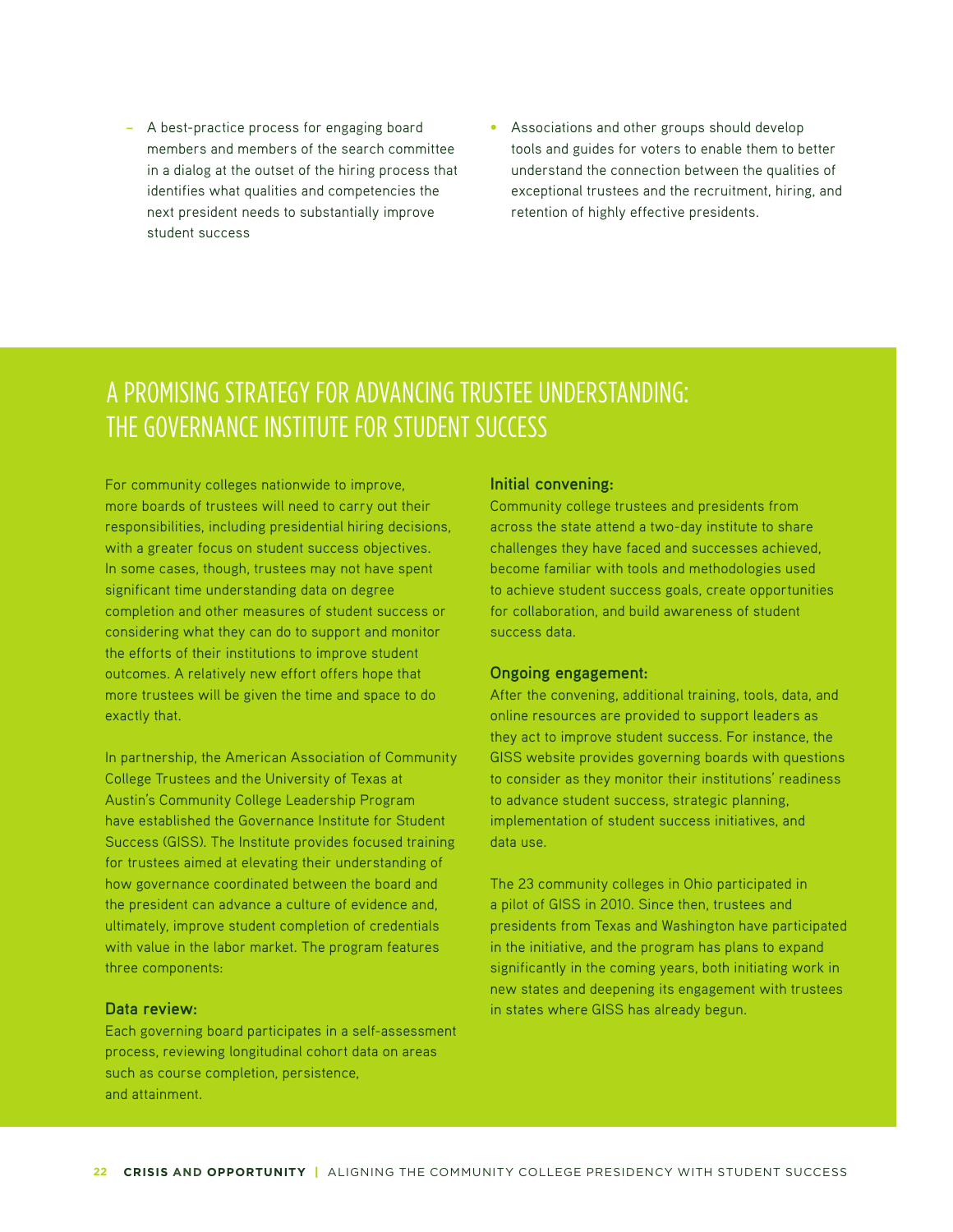- − A best-practice process for engaging board members and members of the search committee in a dialog at the outset of the hiring process that identifies what qualities and competencies the next president needs to substantially improve student success
- **•** Associations and other groups should develop tools and guides for voters to enable them to better understand the connection between the qualities of exceptional trustees and the recruitment, hiring, and retention of highly effective presidents.

# A PROMISING STRATEGY FOR ADVANCING TRUSTEE UNDERSTANDING: THE GOVERNANCE INSTITUTE FOR STUDENT SUCCESS

For community colleges nationwide to improve, more boards of trustees will need to carry out their responsibilities, including presidential hiring decisions, with a greater focus on student success objectives. In some cases, though, trustees may not have spent significant time understanding data on degree completion and other measures of student success or considering what they can do to support and monitor the efforts of their institutions to improve student outcomes. A relatively new effort offers hope that more trustees will be given the time and space to do exactly that.

In partnership, the American Association of Community College Trustees and the University of Texas at Austin's Community College Leadership Program have established the Governance Institute for Student Success (GISS). The Institute provides focused training for trustees aimed at elevating their understanding of how governance coordinated between the board and the president can advance a culture of evidence and, ultimately, improve student completion of credentials with value in the labor market. The program features three components:

#### **Data review:**

Each governing board participates in a self-assessment process, reviewing longitudinal cohort data on areas such as course completion, persistence, and attainment.

#### **Initial convening:**

Community college trustees and presidents from across the state attend a two-day institute to share challenges they have faced and successes achieved, become familiar with tools and methodologies used to achieve student success goals, create opportunities for collaboration, and build awareness of student success data.

#### **Ongoing engagement:**

After the convening, additional training, tools, data, and online resources are provided to support leaders as they act to improve student success. For instance, the GISS website provides governing boards with questions to consider as they monitor their institutions' readiness to advance student success, strategic planning, implementation of student success initiatives, and data use.

The 23 community colleges in Ohio participated in a pilot of GISS in 2010. Since then, trustees and presidents from Texas and Washington have participated in the initiative, and the program has plans to expand significantly in the coming years, both initiating work in new states and deepening its engagement with trustees in states where GISS has already begun.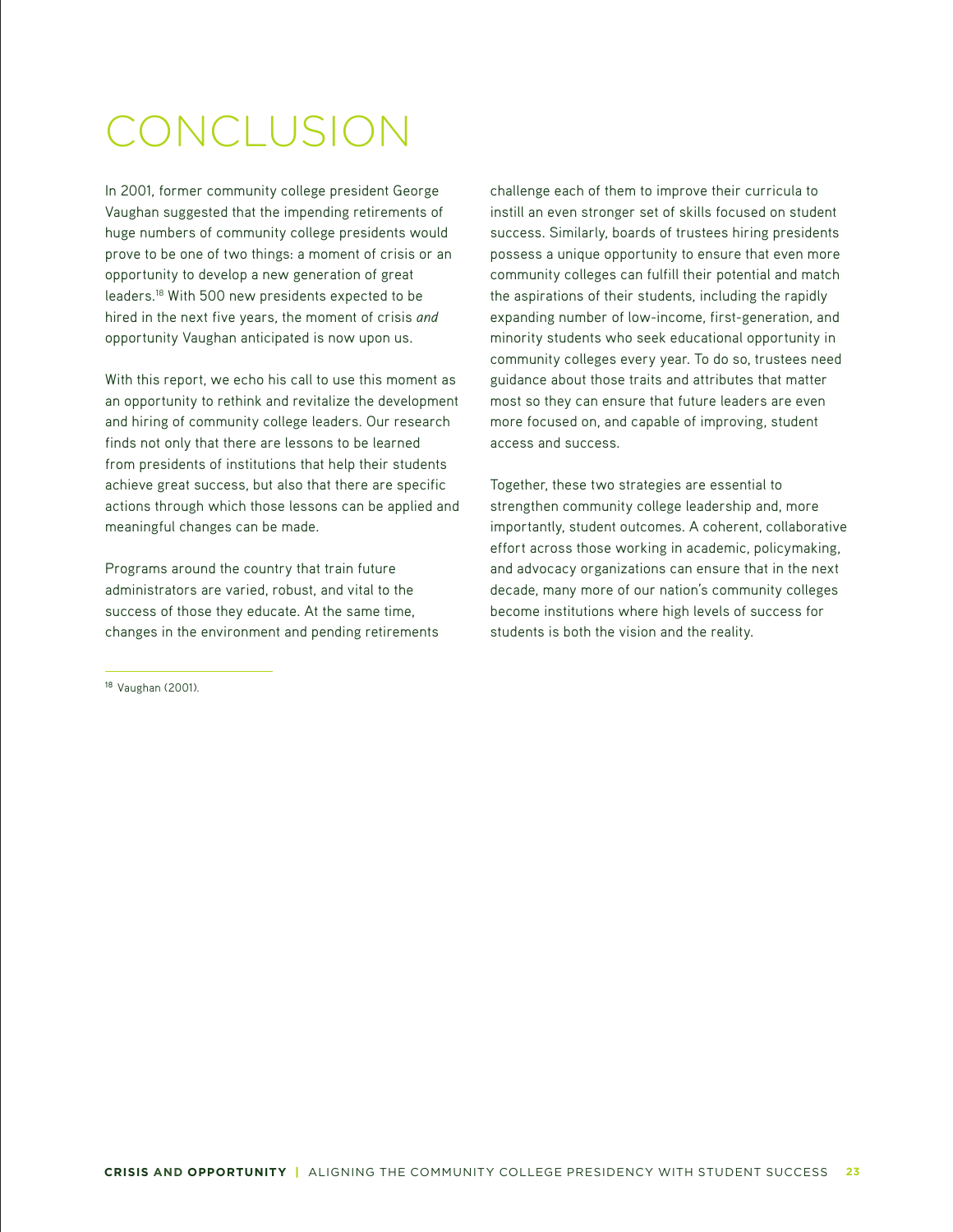# CONCLUSION

In 2001, former community college president George Vaughan suggested that the impending retirements of huge numbers of community college presidents would prove to be one of two things: a moment of crisis or an opportunity to develop a new generation of great leaders.18 With 500 new presidents expected to be hired in the next five years, the moment of crisis *and* opportunity Vaughan anticipated is now upon us.

With this report, we echo his call to use this moment as an opportunity to rethink and revitalize the development and hiring of community college leaders. Our research finds not only that there are lessons to be learned from presidents of institutions that help their students achieve great success, but also that there are specific actions through which those lessons can be applied and meaningful changes can be made.

Programs around the country that train future administrators are varied, robust, and vital to the success of those they educate. At the same time, changes in the environment and pending retirements

<sup>18</sup> Vaughan (2001).

challenge each of them to improve their curricula to instill an even stronger set of skills focused on student success. Similarly, boards of trustees hiring presidents possess a unique opportunity to ensure that even more community colleges can fulfill their potential and match the aspirations of their students, including the rapidly expanding number of low-income, first-generation, and minority students who seek educational opportunity in community colleges every year. To do so, trustees need guidance about those traits and attributes that matter most so they can ensure that future leaders are even more focused on, and capable of improving, student access and success.

Together, these two strategies are essential to strengthen community college leadership and, more importantly, student outcomes. A coherent, collaborative effort across those working in academic, policymaking, and advocacy organizations can ensure that in the next decade, many more of our nation's community colleges become institutions where high levels of success for students is both the vision and the reality.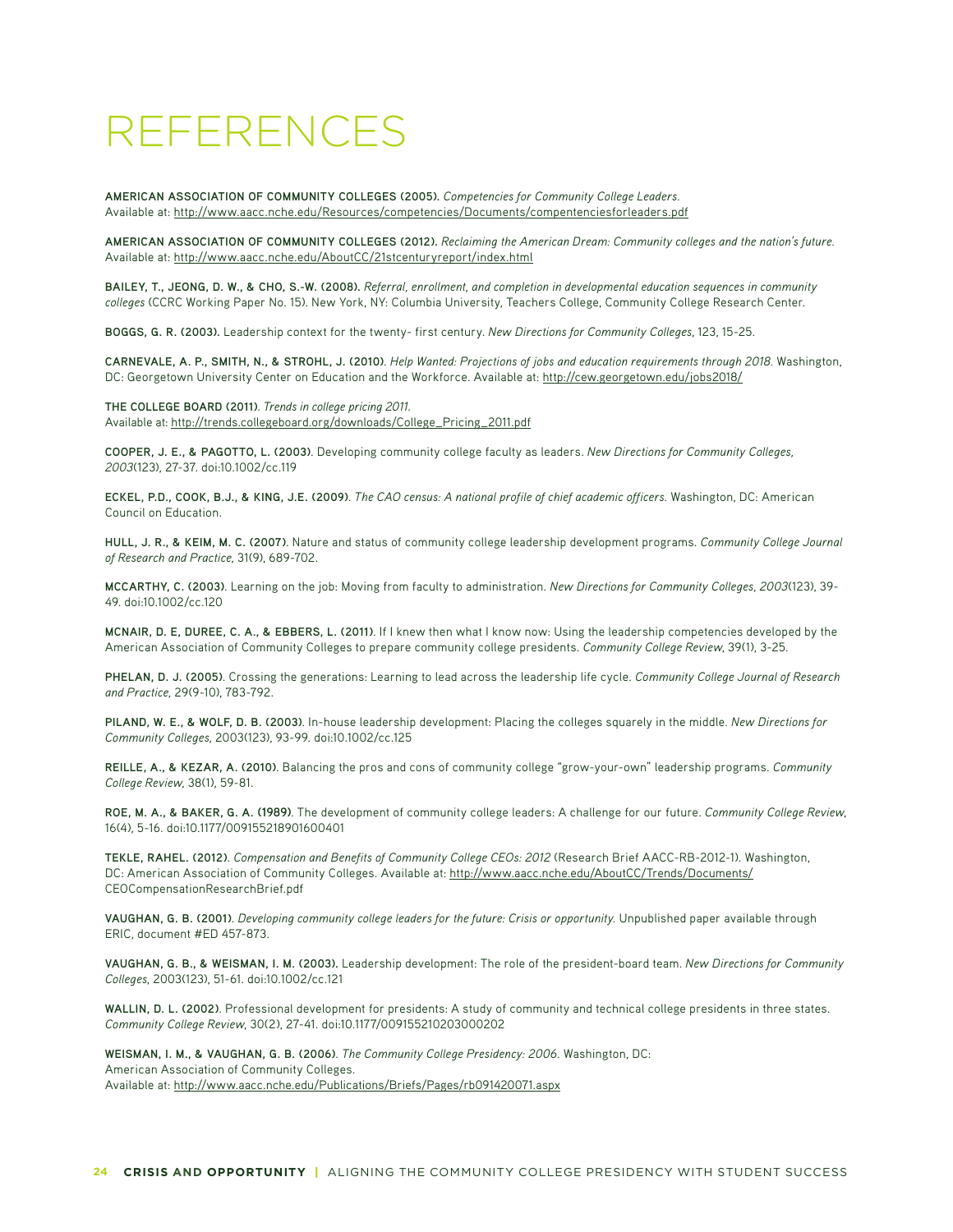# REFERENCES

**AMERICAN ASSOCIATION OF COMMUNITY COLLEGES (2005).** *Competencies for Community College Leaders.* Available at: http://www.aacc.nche.edu/Resources/competencies/Documents/compentenciesforleaders.pdf

**AMERICAN ASSOCIATION OF COMMUNITY COLLEGES (2012).** *Reclaiming the American Dream: Community colleges and the nation's future.* Available at: http://www.aacc.nche.edu/AboutCC/21stcenturyreport/index.html

**BAILEY, T., JEONG, D. W., & CHO, S.-W. (2008).** *Referral, enrollment, and completion in developmental education sequences in community colleges* (CCRC Working Paper No. 15). New York, NY: Columbia University, Teachers College, Community College Research Center.

**BOGGS, G. R. (2003).** Leadership context for the twenty- first century. *New Directions for Community Colleges*, 123, 15-25.

CARNEVALE, A. P., SMITH, N., & STROHL, J. (2010). *Help Wanted: Projections of jobs and education requirements through 2018*. Washington, DC: Georgetown University Center on Education and the Workforce. Available at: http://cew.georgetown.edu/jobs2018/

**THE COLLEGE BOARD (2011)**. *Trends in college pricing 2011*. Available at: http://trends.collegeboard.org/downloads/College\_Pricing\_2011.pdf

**COOPER, J. E., & PAGOTTO, L. (2003)**. Developing community college faculty as leaders. *New Directions for Community Colleges, 2003*(123), 27-37. doi:10.1002/cc.119

**ECKEL, P.D., COOK, B.J., & KING, J.E. (2009)**. *The CAO census: A national profile of chief academic officers.* Washington, DC: American Council on Education.

**HULL, J. R., & KEIM, M. C. (2007)**. Nature and status of community college leadership development programs. *Community College Journal of Research and Practice*, 31(9), 689-702.

**MCCARTHY, C. (2003)**. Learning on the job: Moving from faculty to administration. *New Directions for Community Colleges, 2003*(123), 39- 49. doi:10.1002/cc.120

**MCNAIR, D. E, DUREE, C. A., & EBBERS, L. (2011)**. If I knew then what I know now: Using the leadership competencies developed by the American Association of Community Colleges to prepare community college presidents. *Community College Review*, 39(1), 3-25.

**PHELAN, D. J. (2005)**. Crossing the generations: Learning to lead across the leadership life cycle. *Community College Journal of Research and Practice*, 29(9-10), 783-792.

**PILAND, W. E., & WOLF, D. B. (2003)**. In-house leadership development: Placing the colleges squarely in the middle. *New Directions for Community Colleges*, 2003(123), 93-99. doi:10.1002/cc.125

**REILLE, A., & KEZAR, A. (2010)**. Balancing the pros and cons of community college "grow-your-own" leadership programs. *Community College Review*, 38(1), 59-81.

**ROE, M. A., & BAKER, G. A. (1989)**. The development of community college leaders: A challenge for our future. *Community College Review*, 16(4), 5-16. doi:10.1177/009155218901600401

**TEKLE, RAHEL. (2012)**. *Compensation and Benefits of Community College CEOs: 2012* (Research Brief AACC-RB-2012-1). Washington, DC: American Association of Community Colleges. Available at: http://www.aacc.nche.edu/AboutCC/Trends/Documents/ CEOCompensationResearchBrief.pdf

**VAUGHAN, G. B. (2001)**. *Developing community college leaders for the future: Crisis or opportunity.* Unpublished paper available through ERIC, document #ED 457-873.

**VAUGHAN, G. B., & WEISMAN, I. M. (2003).** Leadership development: The role of the president-board team. *New Directions for Community Colleges*, 2003(123), 51-61. doi:10.1002/cc.121

**WALLIN, D. L. (2002)**. Professional development for presidents: A study of community and technical college presidents in three states. *Community College Review*, 30(2), 27-41. doi:10.1177/009155210203000202

**WEISMAN, I. M., & VAUGHAN, G. B. (2006)**. *The Community College Presidency: 2006.* Washington, DC: American Association of Community Colleges. Available at: http://www.aacc.nche.edu/Publications/Briefs/Pages/rb091420071.aspx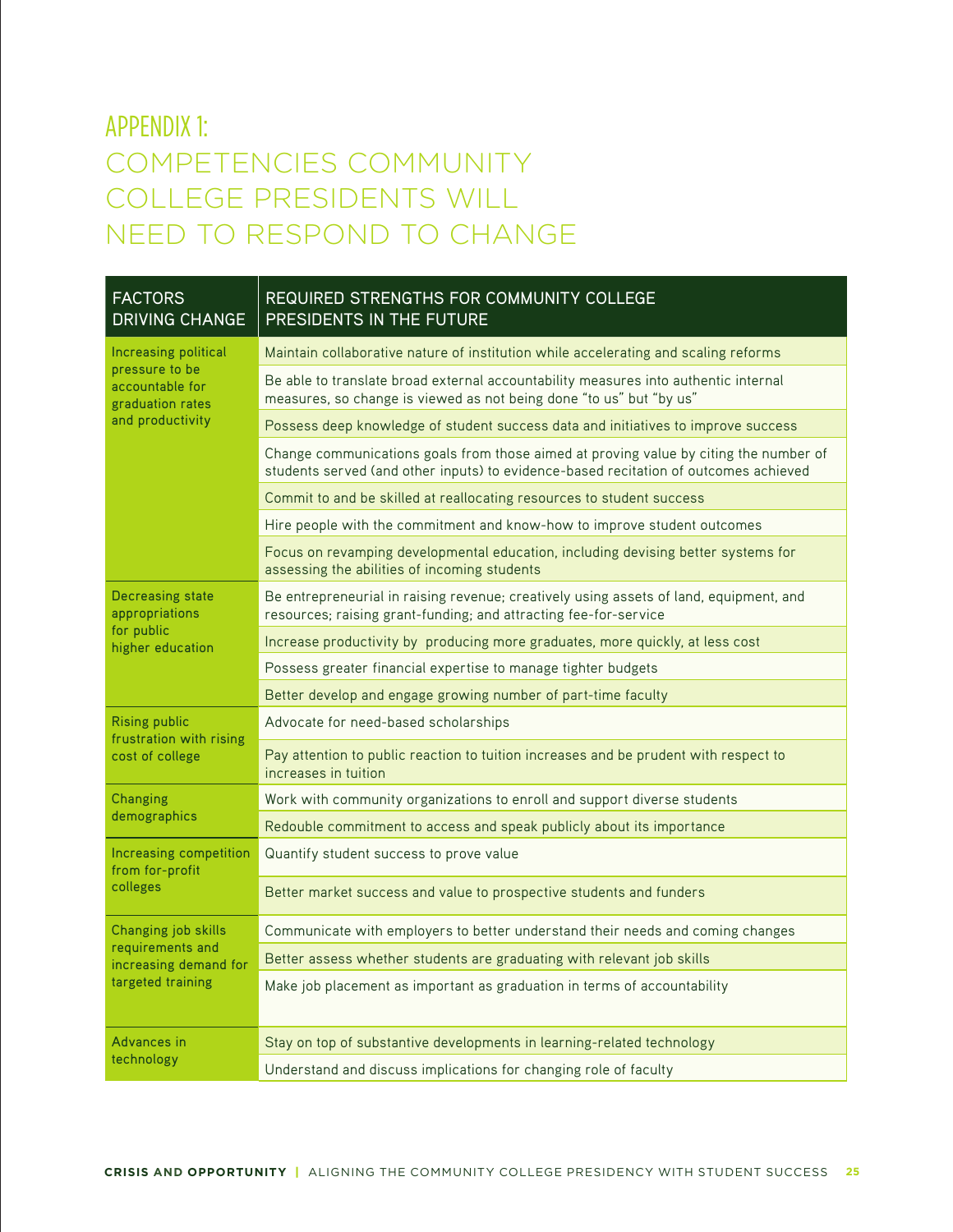# APPENDIX 1: COMPETENCIES COMMUNITY COLLEGE PRESIDENTS WILL NEED TO RESPOND TO CHANGE

| <b>FACTORS</b><br><b>DRIVING CHANGE</b>                                                           | REQUIRED STRENGTHS FOR COMMUNITY COLLEGE<br>PRESIDENTS IN THE FUTURE                                                                                                          |  |  |  |  |
|---------------------------------------------------------------------------------------------------|-------------------------------------------------------------------------------------------------------------------------------------------------------------------------------|--|--|--|--|
| Increasing political<br>pressure to be<br>accountable for<br>graduation rates<br>and productivity | Maintain collaborative nature of institution while accelerating and scaling reforms                                                                                           |  |  |  |  |
|                                                                                                   | Be able to translate broad external accountability measures into authentic internal<br>measures, so change is viewed as not being done "to us" but "by us"                    |  |  |  |  |
|                                                                                                   | Possess deep knowledge of student success data and initiatives to improve success                                                                                             |  |  |  |  |
|                                                                                                   | Change communications goals from those aimed at proving value by citing the number of<br>students served (and other inputs) to evidence-based recitation of outcomes achieved |  |  |  |  |
|                                                                                                   | Commit to and be skilled at reallocating resources to student success                                                                                                         |  |  |  |  |
|                                                                                                   | Hire people with the commitment and know-how to improve student outcomes                                                                                                      |  |  |  |  |
|                                                                                                   | Focus on revamping developmental education, including devising better systems for<br>assessing the abilities of incoming students                                             |  |  |  |  |
| <b>Decreasing state</b><br>appropriations<br>for public<br>higher education                       | Be entrepreneurial in raising revenue; creatively using assets of land, equipment, and<br>resources; raising grant-funding; and attracting fee-for-service                    |  |  |  |  |
|                                                                                                   | Increase productivity by producing more graduates, more quickly, at less cost                                                                                                 |  |  |  |  |
|                                                                                                   | Possess greater financial expertise to manage tighter budgets                                                                                                                 |  |  |  |  |
|                                                                                                   | Better develop and engage growing number of part-time faculty                                                                                                                 |  |  |  |  |
| <b>Rising public</b><br>frustration with rising<br>cost of college                                | Advocate for need-based scholarships                                                                                                                                          |  |  |  |  |
|                                                                                                   | Pay attention to public reaction to tuition increases and be prudent with respect to<br>increases in tuition                                                                  |  |  |  |  |
| Changing<br>demographics                                                                          | Work with community organizations to enroll and support diverse students                                                                                                      |  |  |  |  |
|                                                                                                   | Redouble commitment to access and speak publicly about its importance                                                                                                         |  |  |  |  |
| Increasing competition<br>from for-profit<br>colleges                                             | Quantify student success to prove value                                                                                                                                       |  |  |  |  |
|                                                                                                   | Better market success and value to prospective students and funders                                                                                                           |  |  |  |  |
| Changing job skills<br>requirements and<br>increasing demand for<br>targeted training             | Communicate with employers to better understand their needs and coming changes                                                                                                |  |  |  |  |
|                                                                                                   | Better assess whether students are graduating with relevant job skills                                                                                                        |  |  |  |  |
|                                                                                                   | Make job placement as important as graduation in terms of accountability                                                                                                      |  |  |  |  |
| Advances in<br>technology                                                                         | Stay on top of substantive developments in learning-related technology                                                                                                        |  |  |  |  |
|                                                                                                   | Understand and discuss implications for changing role of faculty                                                                                                              |  |  |  |  |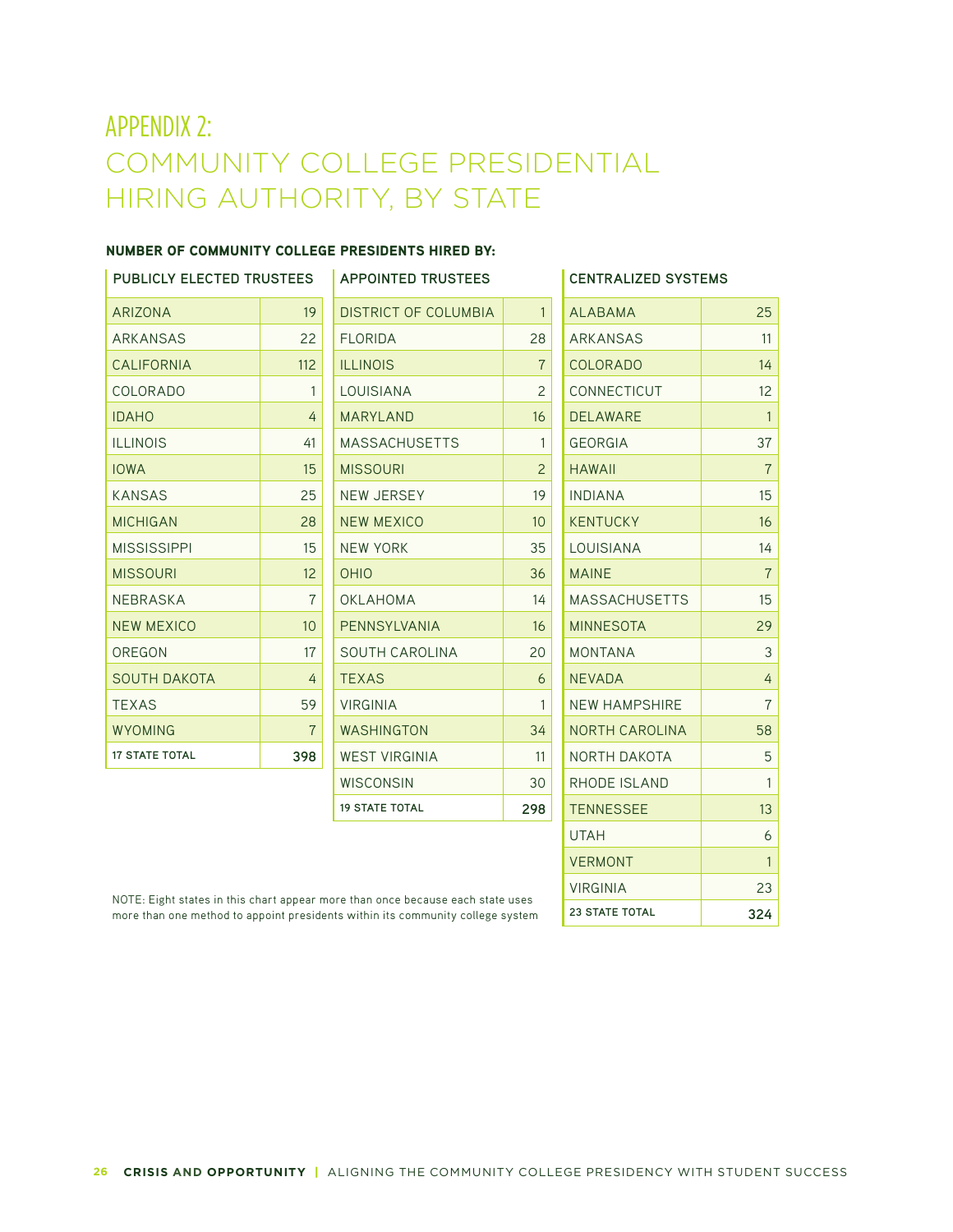# APPENDIX 2: COMMUNITY COLLEGE PRESIDENTIAL HIRING AUTHORITY, BY STATE

#### NUMBER OF COMMUNITY COLLEGE PRESIDENTS HIRED BY:

| <b>PUBLICLY ELECTED TRUSTEES</b> |                 | <b>APPOINTED TRUSTEES</b> |                | <b>CENTRALIZED SYSTEMS</b> |                |
|----------------------------------|-----------------|---------------------------|----------------|----------------------------|----------------|
| ARIZONA                          | 19              | DISTRICT OF COLUMBIA      | $\mathbf{1}$   | <b>ALABAMA</b>             | 25             |
| ARKANSAS                         | 22              | <b>FLORIDA</b>            | 28             | <b>ARKANSAS</b>            | 11             |
| <b>CALIFORNIA</b>                | 112             | <b>ILLINOIS</b>           | $\overline{7}$ | <b>COLORADO</b>            | 14             |
| COLORADO                         | 1               | LOUISIANA                 | $\mathcal{P}$  | <b>CONNECTICUT</b>         | 12             |
| <b>IDAHO</b>                     | 4               | <b>MARYLAND</b>           | 16             | <b>DELAWARE</b>            | $\overline{1}$ |
| <b>ILLINOIS</b>                  | 41              | <b>MASSACHUSETTS</b>      | 1              | <b>GEORGIA</b>             | 37             |
| <b>IOWA</b>                      | 15              | <b>MISSOURI</b>           | 2              | <b>HAWAII</b>              | $\overline{7}$ |
| <b>KANSAS</b>                    | 25              | <b>NEW JERSEY</b>         | 19             | <b>INDIANA</b>             | 15             |
| <b>MICHIGAN</b>                  | 28              | <b>NEW MEXICO</b>         | 10             | <b>KENTUCKY</b>            | 16             |
| <b>MISSISSIPPI</b>               | 15              | <b>NEW YORK</b>           | 35             | LOUISIANA                  | 14             |
| <b>MISSOURI</b>                  | 12              | <b>OHIO</b>               | 36             | <b>MAINE</b>               | $\overline{7}$ |
| <b>NEBRASKA</b>                  | 7               | OKLAHOMA                  | 14             | <b>MASSACHUSETTS</b>       | 15             |
| <b>NEW MEXICO</b>                | 10 <sup>°</sup> | PENNSYLVANIA              | 16             | <b>MINNESOTA</b>           | 29             |
| OREGON                           | 17              | SOUTH CAROLINA            | 20             | <b>MONTANA</b>             | 3              |
| <b>SOUTH DAKOTA</b>              | 4               | <b>TEXAS</b>              | 6              | <b>NEVADA</b>              | 4              |
| <b>TEXAS</b>                     | 59              | <b>VIRGINIA</b>           | 1              | <b>NEW HAMPSHIRE</b>       | $\overline{7}$ |
| <b>WYOMING</b>                   | $\overline{7}$  | WASHINGTON                | 34             | <b>NORTH CAROLINA</b>      | 58             |
| <b>17 STATE TOTAL</b>            | 398             | <b>WEST VIRGINIA</b>      | 11             | NORTH DAKOTA               | 5              |
|                                  |                 | <b>WISCONSIN</b>          | 30             | RHODE ISLAND               | $\mathbf{1}$   |
|                                  |                 | <b>19 STATE TOTAL</b>     | 298            | <b>TENNESSEE</b>           | 13             |
|                                  |                 |                           |                | <b>UTAH</b>                | 6              |

NOTE: Eight states in this chart appear more than once because each state uses more than one method to appoint presidents within its community college system VERMONT 1

VIRGINIA 23 **23 STATE TOTAL 324**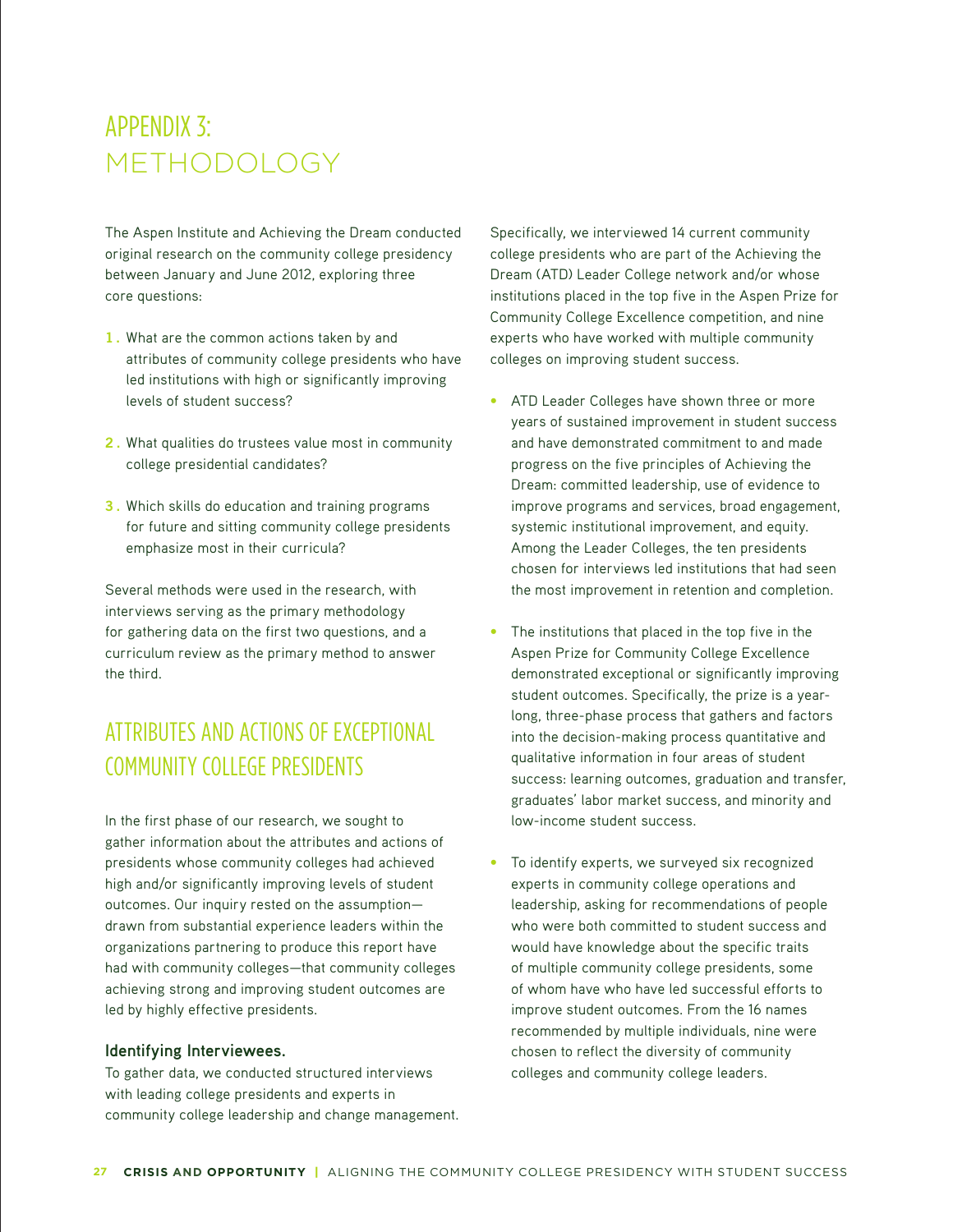# APPENDIX 3: METHODOLOGY

The Aspen Institute and Achieving the Dream conducted original research on the community college presidency between January and June 2012, exploring three core questions:

- 1. What are the common actions taken by and attributes of community college presidents who have led institutions with high or significantly improving levels of student success?
- **2**. What qualities do trustees value most in community college presidential candidates?
- **3**. Which skills do education and training programs for future and sitting community college presidents emphasize most in their curricula?

Several methods were used in the research, with interviews serving as the primary methodology for gathering data on the first two questions, and a curriculum review as the primary method to answer the third.

# ATTRIBUTES AND ACTIONS OF EXCEPTIONAL COMMUNITY COLLEGE PRESIDENTS

In the first phase of our research, we sought to gather information about the attributes and actions of presidents whose community colleges had achieved high and/or significantly improving levels of student outcomes. Our inquiry rested on the assumption drawn from substantial experience leaders within the organizations partnering to produce this report have had with community colleges—that community colleges achieving strong and improving student outcomes are led by highly effective presidents.

#### **Identifying Interviewees.**

To gather data, we conducted structured interviews with leading college presidents and experts in community college leadership and change management.

Specifically, we interviewed 14 current community college presidents who are part of the Achieving the Dream (ATD) Leader College network and/or whose institutions placed in the top five in the Aspen Prize for Community College Excellence competition, and nine experts who have worked with multiple community colleges on improving student success.

- ATD Leader Colleges have shown three or more years of sustained improvement in student success and have demonstrated commitment to and made progress on the five principles of Achieving the Dream: committed leadership, use of evidence to improve programs and services, broad engagement, systemic institutional improvement, and equity. Among the Leader Colleges, the ten presidents chosen for interviews led institutions that had seen the most improvement in retention and completion.
- **•** The institutions that placed in the top five in the Aspen Prize for Community College Excellence demonstrated exceptional or significantly improving student outcomes. Specifically, the prize is a yearlong, three-phase process that gathers and factors into the decision-making process quantitative and qualitative information in four areas of student success: learning outcomes, graduation and transfer, graduates' labor market success, and minority and low-income student success.
- To identify experts, we surveyed six recognized experts in community college operations and leadership, asking for recommendations of people who were both committed to student success and would have knowledge about the specific traits of multiple community college presidents, some of whom have who have led successful efforts to improve student outcomes. From the 16 names recommended by multiple individuals, nine were chosen to reflect the diversity of community colleges and community college leaders.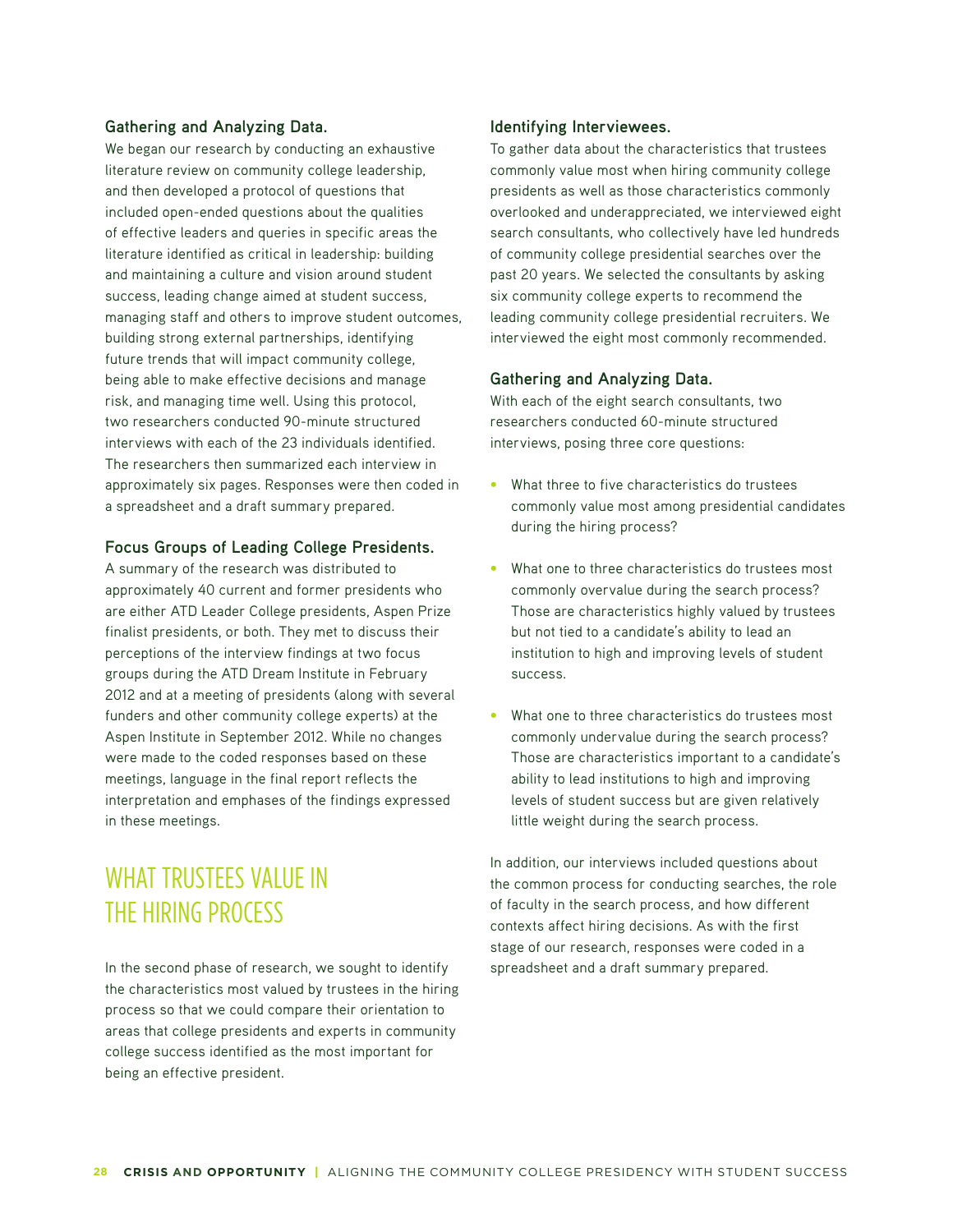#### **Gathering and Analyzing Data.**

We began our research by conducting an exhaustive literature review on community college leadership, and then developed a protocol of questions that included open-ended questions about the qualities of effective leaders and queries in specific areas the literature identified as critical in leadership: building and maintaining a culture and vision around student success, leading change aimed at student success, managing staff and others to improve student outcomes, building strong external partnerships, identifying future trends that will impact community college, being able to make effective decisions and manage risk, and managing time well. Using this protocol, two researchers conducted 90-minute structured interviews with each of the 23 individuals identified. The researchers then summarized each interview in approximately six pages. Responses were then coded in a spreadsheet and a draft summary prepared.

#### **Focus Groups of Leading College Presidents.**

A summary of the research was distributed to approximately 40 current and former presidents who are either ATD Leader College presidents, Aspen Prize finalist presidents, or both. They met to discuss their perceptions of the interview findings at two focus groups during the ATD Dream Institute in February 2012 and at a meeting of presidents (along with several funders and other community college experts) at the Aspen Institute in September 2012. While no changes were made to the coded responses based on these meetings, language in the final report reflects the interpretation and emphases of the findings expressed in these meetings.

# WHAT TRUSTEES VALUE IN THE HIRING PROCESS

In the second phase of research, we sought to identify the characteristics most valued by trustees in the hiring process so that we could compare their orientation to areas that college presidents and experts in community college success identified as the most important for being an effective president.

#### **Identifying Interviewees.**

To gather data about the characteristics that trustees commonly value most when hiring community college presidents as well as those characteristics commonly overlooked and underappreciated, we interviewed eight search consultants, who collectively have led hundreds of community college presidential searches over the past 20 years. We selected the consultants by asking six community college experts to recommend the leading community college presidential recruiters. We interviewed the eight most commonly recommended.

#### **Gathering and Analyzing Data.**

With each of the eight search consultants, two researchers conducted 60-minute structured interviews, posing three core questions:

- What three to five characteristics do trustees commonly value most among presidential candidates during the hiring process?
- What one to three characteristics do trustees most commonly overvalue during the search process? Those are characteristics highly valued by trustees but not tied to a candidate's ability to lead an institution to high and improving levels of student success.
- What one to three characteristics do trustees most commonly undervalue during the search process? Those are characteristics important to a candidate's ability to lead institutions to high and improving levels of student success but are given relatively little weight during the search process.

In addition, our interviews included questions about the common process for conducting searches, the role of faculty in the search process, and how different contexts affect hiring decisions. As with the first stage of our research, responses were coded in a spreadsheet and a draft summary prepared.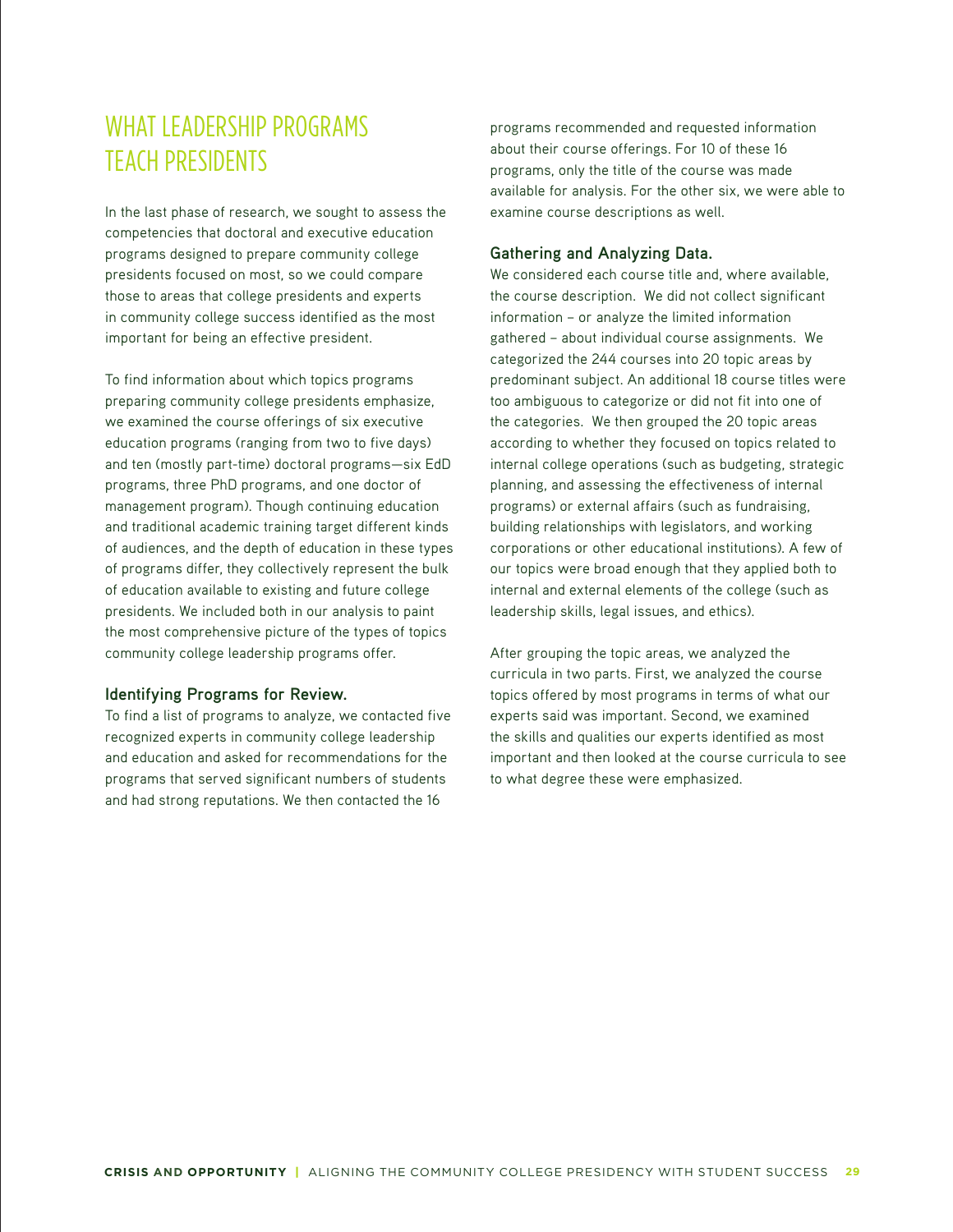# WHAT LEADERSHIP PROGRAMS TEACH PRESIDENTS

In the last phase of research, we sought to assess the competencies that doctoral and executive education programs designed to prepare community college presidents focused on most, so we could compare those to areas that college presidents and experts in community college success identified as the most important for being an effective president.

To find information about which topics programs preparing community college presidents emphasize, we examined the course offerings of six executive education programs (ranging from two to five days) and ten (mostly part-time) doctoral programs—six EdD programs, three PhD programs, and one doctor of management program). Though continuing education and traditional academic training target different kinds of audiences, and the depth of education in these types of programs differ, they collectively represent the bulk of education available to existing and future college presidents. We included both in our analysis to paint the most comprehensive picture of the types of topics community college leadership programs offer.

#### **Identifying Programs for Review.**

To find a list of programs to analyze, we contacted five recognized experts in community college leadership and education and asked for recommendations for the programs that served significant numbers of students and had strong reputations. We then contacted the 16

programs recommended and requested information about their course offerings. For 10 of these 16 programs, only the title of the course was made available for analysis. For the other six, we were able to examine course descriptions as well.

#### **Gathering and Analyzing Data.**

We considered each course title and, where available, the course description. We did not collect significant information – or analyze the limited information gathered – about individual course assignments. We categorized the 244 courses into 20 topic areas by predominant subject. An additional 18 course titles were too ambiguous to categorize or did not fit into one of the categories. We then grouped the 20 topic areas according to whether they focused on topics related to internal college operations (such as budgeting, strategic planning, and assessing the effectiveness of internal programs) or external affairs (such as fundraising, building relationships with legislators, and working corporations or other educational institutions). A few of our topics were broad enough that they applied both to internal and external elements of the college (such as leadership skills, legal issues, and ethics).

After grouping the topic areas, we analyzed the curricula in two parts. First, we analyzed the course topics offered by most programs in terms of what our experts said was important. Second, we examined the skills and qualities our experts identified as most important and then looked at the course curricula to see to what degree these were emphasized.